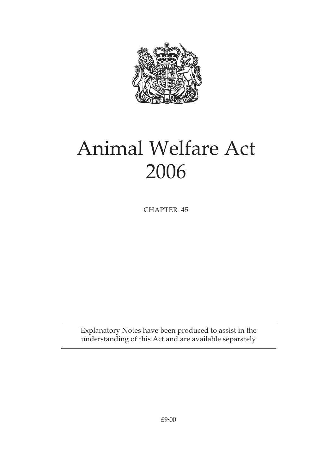

# Animal Welfare Act 2006

CHAPTER 45

Explanatory Notes have been produced to assist in the understanding of this Act and are available separately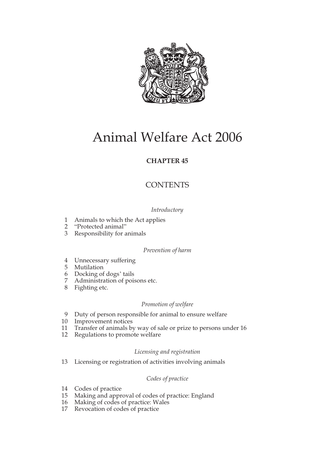

## Animal Welfare Act 2006

#### **CHAPTER 45**

#### **CONTENTS**

#### *Introductory*

- 1 Animals to which the Act applies<br>2 "Protected animal"
- "Protected animal"
- 3 Responsibility for animals

#### *Prevention of harm*

- 4 Unnecessary suffering
- 5 Mutilation
- 6 Docking of dogs' tails
- Administration of poisons etc.
- 8 Fighting etc.

#### *Promotion of welfare*

- 9 Duty of person responsible for animal to ensure welfare
- 10 Improvement notices
- 11 Transfer of animals by way of sale or prize to persons under 16
- 12 Regulations to promote welfare

#### *Licensing and registration*

13 Licensing or registration of activities involving animals

#### *Codes of practice*

- 14 Codes of practice
- 15 Making and approval of codes of practice: England
- 16 Making of codes of practice: Wales
- 17 Revocation of codes of practice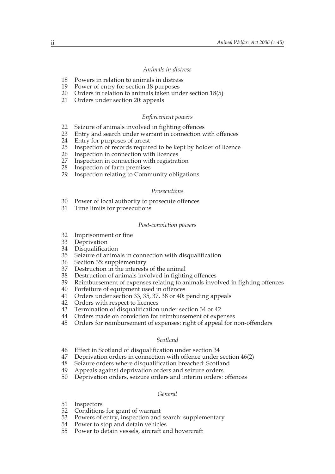#### *Animals in distress*

- 18 Powers in relation to animals in distress
- 19 Power of entry for section 18 purposes
- 20 Orders in relation to animals taken under section 18(5)
- 21 Orders under section 20: appeals

#### *Enforcement powers*

- 22 Seizure of animals involved in fighting offences<br>23 Entry and search under warrant in connection w
- 23 Entry and search under warrant in connection with offences<br>24 Entry for purposes of arrest
- 24 Entry for purposes of arrest<br>25 Inspection of records require
- 25 Inspection of records required to be kept by holder of licence
- 26 Inspection in connection with licences<br>27 Inspection in connection with registrat
- 27 Inspection in connection with registration<br>28 Inspection of farm premises
- 28 Inspection of farm premises<br>29 Inspection relating to Comm
- Inspection relating to Community obligations

#### *Prosecutions*

- 30 Power of local authority to prosecute offences
- 31 Time limits for prosecutions

#### *Post-conviction powers*

- 32 Imprisonment or fine
- 33 Deprivation
- 34 Disqualification
- 35 Seizure of animals in connection with disqualification
- 36 Section 35: supplementary
- 37 Destruction in the interests of the animal
- 38 Destruction of animals involved in fighting offences
- 39 Reimbursement of expenses relating to animals involved in fighting offences
- 40 Forfeiture of equipment used in offences
- 41 Orders under section 33, 35, 37, 38 or 40: pending appeals
- 42 Orders with respect to licences
- 43 Termination of disqualification under section 34 or 42
- 44 Orders made on conviction for reimbursement of expenses
- 45 Orders for reimbursement of expenses: right of appeal for non-offenders

#### *Scotland*

- 46 Effect in Scotland of disqualification under section 34<br>47 Deprivation orders in connection with offence under
- 47 Deprivation orders in connection with offence under section 46(2)<br>48 Seizure orders where disqualification breached: Scotland
- 48 Seizure orders where disqualification breached: Scotland<br>49 Appeals against deprivation orders and seizure orders
- Appeals against deprivation orders and seizure orders
- 50 Deprivation orders, seizure orders and interim orders: offences

#### *General*

- 51 Inspectors
- 52 Conditions for grant of warrant
- 53 Powers of entry, inspection and search: supplementary
- 54 Power to stop and detain vehicles
- 55 Power to detain vessels, aircraft and hovercraft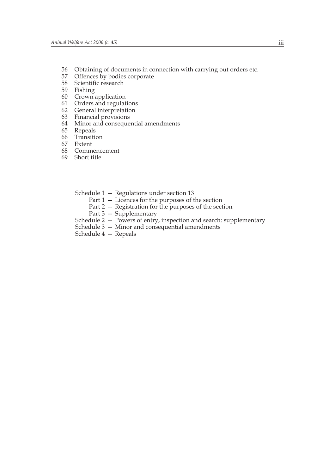- 56 Obtaining of documents in connection with carrying out orders etc.
- 57 Offences by bodies corporate
- 58 Scientific research
- 59 Fishing
- 60 Crown application
- 61 Orders and regulations
- 62 General interpretation
- 63 Financial provisions
- 64 Minor and consequential amendments
- 65 Repeals
- 66 Transition
- 67 Extent
- 68 Commencement
- 69 Short title
	- Schedule 1 Regulations under section 13
		- Part 1 Licences for the purposes of the section
		- Part 2 Registration for the purposes of the section
		- Part 3 Supplementary
	- Schedule 2 Powers of entry, inspection and search: supplementary
	- Schedule 3 Minor and consequential amendments
	- Schedule 4 Repeals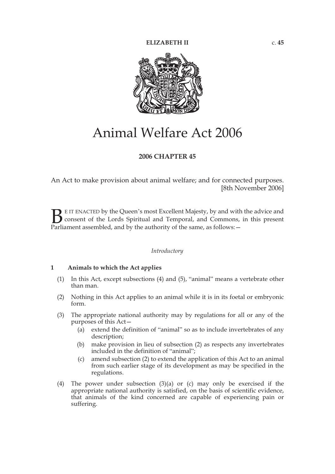

### Animal Welfare Act 2006

#### **2006 CHAPTER 45**

An Act to make provision about animal welfare; and for connected purposes. [8th November 2006]

E IT ENACTED by the Queen's most Excellent Majesty, by and with the advice and consent of the Lords Spiritual and Temporal, and Commons, in this present **P**EIT ENACTED by the Queen's most Excellent Majesty, by and with consent of the Lords Spiritual and Temporal, and Commons, Parliament assembled, and by the authority of the same, as follows:

#### *Introductory*

#### **1 Animals to which the Act applies**

- (1) In this Act, except subsections (4) and (5), "animal" means a vertebrate other than man.
- (2) Nothing in this Act applies to an animal while it is in its foetal or embryonic form.
- (3) The appropriate national authority may by regulations for all or any of the purposes of this Act—
	- (a) extend the definition of "animal" so as to include invertebrates of any description;
	- (b) make provision in lieu of subsection (2) as respects any invertebrates included in the definition of "animal";
	- (c) amend subsection (2) to extend the application of this Act to an animal from such earlier stage of its development as may be specified in the regulations.
- (4) The power under subsection (3)(a) or (c) may only be exercised if the appropriate national authority is satisfied, on the basis of scientific evidence, that animals of the kind concerned are capable of experiencing pain or suffering.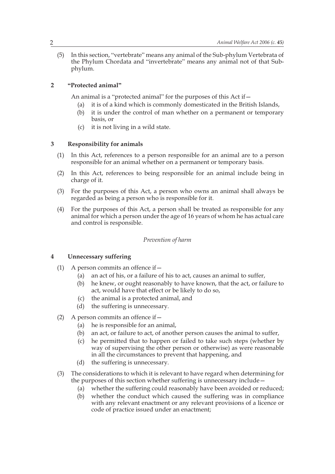(5) In this section, "vertebrate" means any animal of the Sub-phylum Vertebrata of the Phylum Chordata and "invertebrate" means any animal not of that Subphylum.

#### **2 "Protected animal"**

An animal is a "protected animal" for the purposes of this Act if—

- (a) it is of a kind which is commonly domesticated in the British Islands,
- (b) it is under the control of man whether on a permanent or temporary basis, or
- (c) it is not living in a wild state.

#### **3 Responsibility for animals**

- (1) In this Act, references to a person responsible for an animal are to a person responsible for an animal whether on a permanent or temporary basis.
- (2) In this Act, references to being responsible for an animal include being in charge of it.
- (3) For the purposes of this Act, a person who owns an animal shall always be regarded as being a person who is responsible for it.
- (4) For the purposes of this Act, a person shall be treated as responsible for any animal for which a person under the age of 16 years of whom he has actual care and control is responsible.

#### *Prevention of harm*

#### **4 Unnecessary suffering**

- (1) A person commits an offence if—
	- (a) an act of his, or a failure of his to act, causes an animal to suffer,
	- (b) he knew, or ought reasonably to have known, that the act, or failure to act, would have that effect or be likely to do so,
	- (c) the animal is a protected animal, and
	- (d) the suffering is unnecessary.
- (2) A person commits an offence if  $-$ 
	- (a) he is responsible for an animal,
	- (b) an act, or failure to act, of another person causes the animal to suffer,
	- (c) he permitted that to happen or failed to take such steps (whether by way of supervising the other person or otherwise) as were reasonable in all the circumstances to prevent that happening, and
	- (d) the suffering is unnecessary.
- (3) The considerations to which it is relevant to have regard when determining for the purposes of this section whether suffering is unnecessary include—
	- (a) whether the suffering could reasonably have been avoided or reduced;
	- (b) whether the conduct which caused the suffering was in compliance with any relevant enactment or any relevant provisions of a licence or code of practice issued under an enactment;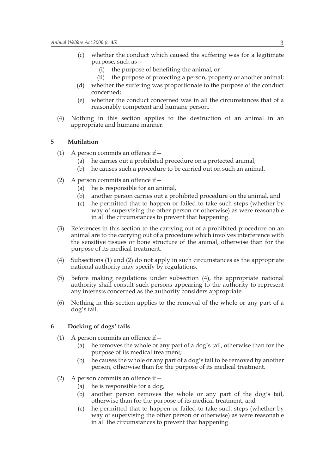- (c) whether the conduct which caused the suffering was for a legitimate purpose, such as—
	- (i) the purpose of benefiting the animal, or
	- (ii) the purpose of protecting a person, property or another animal;
- (d) whether the suffering was proportionate to the purpose of the conduct concerned;
- (e) whether the conduct concerned was in all the circumstances that of a reasonably competent and humane person.
- (4) Nothing in this section applies to the destruction of an animal in an appropriate and humane manner.

#### **5 Mutilation**

- (1) A person commits an offence if  $-$ 
	- (a) he carries out a prohibited procedure on a protected animal;
	- (b) he causes such a procedure to be carried out on such an animal.
- (2) A person commits an offence if  $-$ 
	- (a) he is responsible for an animal,
	- (b) another person carries out a prohibited procedure on the animal, and
	- (c) he permitted that to happen or failed to take such steps (whether by way of supervising the other person or otherwise) as were reasonable in all the circumstances to prevent that happening.
- (3) References in this section to the carrying out of a prohibited procedure on an animal are to the carrying out of a procedure which involves interference with the sensitive tissues or bone structure of the animal, otherwise than for the purpose of its medical treatment.
- (4) Subsections (1) and (2) do not apply in such circumstances as the appropriate national authority may specify by regulations.
- (5) Before making regulations under subsection (4), the appropriate national authority shall consult such persons appearing to the authority to represent any interests concerned as the authority considers appropriate.
- (6) Nothing in this section applies to the removal of the whole or any part of a dog's tail.

#### **6 Docking of dogs' tails**

- (1) A person commits an offence if  $-$ 
	- (a) he removes the whole or any part of a dog's tail, otherwise than for the purpose of its medical treatment;
	- (b) he causes the whole or any part of a dog's tail to be removed by another person, otherwise than for the purpose of its medical treatment.
- (2) A person commits an offence if—
	- (a) he is responsible for a dog,
	- (b) another person removes the whole or any part of the dog's tail, otherwise than for the purpose of its medical treatment, and
	- (c) he permitted that to happen or failed to take such steps (whether by way of supervising the other person or otherwise) as were reasonable in all the circumstances to prevent that happening.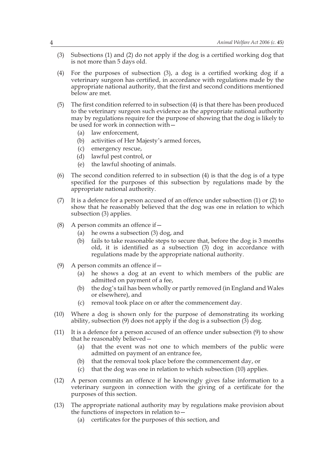- (3) Subsections (1) and (2) do not apply if the dog is a certified working dog that is not more than 5 days old.
- (4) For the purposes of subsection (3), a dog is a certified working dog if a veterinary surgeon has certified, in accordance with regulations made by the appropriate national authority, that the first and second conditions mentioned below are met.
- (5) The first condition referred to in subsection (4) is that there has been produced to the veterinary surgeon such evidence as the appropriate national authority may by regulations require for the purpose of showing that the dog is likely to be used for work in connection with—
	- (a) law enforcement,
	- (b) activities of Her Majesty's armed forces,
	- (c) emergency rescue,
	- (d) lawful pest control, or
	- (e) the lawful shooting of animals.
- (6) The second condition referred to in subsection (4) is that the dog is of a type specified for the purposes of this subsection by regulations made by the appropriate national authority.
- (7) It is a defence for a person accused of an offence under subsection (1) or (2) to show that he reasonably believed that the dog was one in relation to which subsection (3) applies.
- (8) A person commits an offence if  $-$ 
	- (a) he owns a subsection (3) dog, and
	- (b) fails to take reasonable steps to secure that, before the dog is 3 months old, it is identified as a subsection (3) dog in accordance with regulations made by the appropriate national authority.
- (9) A person commits an offence if  $-$ 
	- (a) he shows a dog at an event to which members of the public are admitted on payment of a fee,
	- (b) the dog's tail has been wholly or partly removed (in England and Wales or elsewhere), and
	- (c) removal took place on or after the commencement day.
- (10) Where a dog is shown only for the purpose of demonstrating its working ability, subsection (9) does not apply if the dog is a subsection (3) dog.
- (11) It is a defence for a person accused of an offence under subsection (9) to show that he reasonably believed—
	- (a) that the event was not one to which members of the public were admitted on payment of an entrance fee,
	- (b) that the removal took place before the commencement day, or
	- (c) that the dog was one in relation to which subsection (10) applies.
- (12) A person commits an offence if he knowingly gives false information to a veterinary surgeon in connection with the giving of a certificate for the purposes of this section.
- (13) The appropriate national authority may by regulations make provision about the functions of inspectors in relation to—
	- (a) certificates for the purposes of this section, and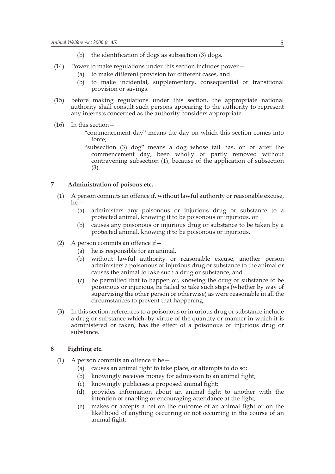- (b) the identification of dogs as subsection (3) dogs.
- (14) Power to make regulations under this section includes power—
	- (a) to make different provision for different cases, and
	- (b) to make incidental, supplementary, consequential or transitional provision or savings.
- (15) Before making regulations under this section, the appropriate national authority shall consult such persons appearing to the authority to represent any interests concerned as the authority considers appropriate.
- (16) In this section—
	- "commencement day" means the day on which this section comes into force;
	- "subsection (3) dog" means a dog whose tail has, on or after the commencement day, been wholly or partly removed without contravening subsection (1), because of the application of subsection (3).

#### **7 Administration of poisons etc.**

- (1) A person commits an offence if, without lawful authority or reasonable excuse, he—
	- (a) administers any poisonous or injurious drug or substance to a protected animal, knowing it to be poisonous or injurious, or
	- (b) causes any poisonous or injurious drug or substance to be taken by a protected animal, knowing it to be poisonous or injurious.
- (2) A person commits an offence if  $-$ 
	- (a) he is responsible for an animal,
	- (b) without lawful authority or reasonable excuse, another person administers a poisonous or injurious drug or substance to the animal or causes the animal to take such a drug or substance, and
	- (c) he permitted that to happen or, knowing the drug or substance to be poisonous or injurious, he failed to take such steps (whether by way of supervising the other person or otherwise) as were reasonable in all the circumstances to prevent that happening.
- (3) In this section, references to a poisonous or injurious drug or substance include a drug or substance which, by virtue of the quantity or manner in which it is administered or taken, has the effect of a poisonous or injurious drug or substance.

#### **8 Fighting etc.**

- (1) A person commits an offence if he $-$ 
	- (a) causes an animal fight to take place, or attempts to do so;
	- (b) knowingly receives money for admission to an animal fight;
	- (c) knowingly publicises a proposed animal fight;
	- (d) provides information about an animal fight to another with the intention of enabling or encouraging attendance at the fight;
	- (e) makes or accepts a bet on the outcome of an animal fight or on the likelihood of anything occurring or not occurring in the course of an animal fight;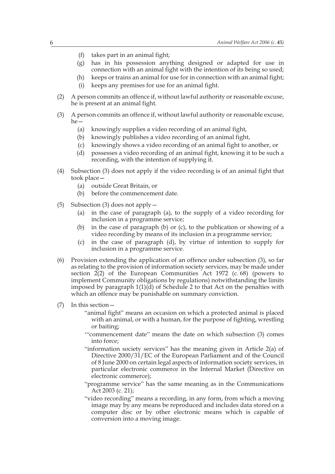- (f) takes part in an animal fight;
- (g) has in his possession anything designed or adapted for use in connection with an animal fight with the intention of its being so used;
- (h) keeps or trains an animal for use for in connection with an animal fight;
- (i) keeps any premises for use for an animal fight.
- (2) A person commits an offence if, without lawful authority or reasonable excuse, he is present at an animal fight.
- (3) A person commits an offence if, without lawful authority or reasonable excuse, he—
	- (a) knowingly supplies a video recording of an animal fight,
	- (b) knowingly publishes a video recording of an animal fight,
	- (c) knowingly shows a video recording of an animal fight to another, or
	- (d) possesses a video recording of an animal fight, knowing it to be such a recording, with the intention of supplying it.
- (4) Subsection (3) does not apply if the video recording is of an animal fight that took place—
	- (a) outside Great Britain, or
	- (b) before the commencement date.
- (5) Subsection (3) does not apply—
	- (a) in the case of paragraph (a), to the supply of a video recording for inclusion in a programme service;
	- (b) in the case of paragraph (b) or (c), to the publication or showing of a video recording by means of its inclusion in a programme service;
	- (c) in the case of paragraph (d), by virtue of intention to supply for inclusion in a programme service.
- (6) Provision extending the application of an offence under subsection (3), so far as relating to the provision of information society services, may be made under section  $2(2)$  of the European Communities Act 1972 (c. 68) (powers to implement Community obligations by regulations) notwithstanding the limits imposed by paragraph 1(1)(d) of Schedule 2 to that Act on the penalties with which an offence may be punishable on summary conviction.
- (7) In this section—
	- "animal fight" means an occasion on which a protected animal is placed with an animal, or with a human, for the purpose of fighting, wrestling or baiting;
	- '"commencement date" means the date on which subsection (3) comes into force;
	- "information society services" has the meaning given in Article 2(a) of Directive 2000/31/EC of the European Parliament and of the Council of 8 June 2000 on certain legal aspects of information society services, in particular electronic commerce in the Internal Market (Directive on electronic commerce);
	- "programme service" has the same meaning as in the Communications Act 2003 (c. 21);
	- "video recording" means a recording, in any form, from which a moving image may by any means be reproduced and includes data stored on a computer disc or by other electronic means which is capable of conversion into a moving image.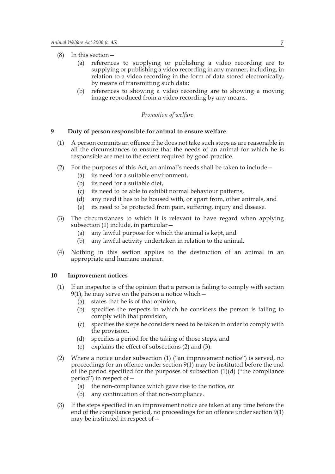- (8) In this section—
	- (a) references to supplying or publishing a video recording are to supplying or publishing a video recording in any manner, including, in relation to a video recording in the form of data stored electronically, by means of transmitting such data;
	- (b) references to showing a video recording are to showing a moving image reproduced from a video recording by any means.

#### *Promotion of welfare*

#### **9 Duty of person responsible for animal to ensure welfare**

- (1) A person commits an offence if he does not take such steps as are reasonable in all the circumstances to ensure that the needs of an animal for which he is responsible are met to the extent required by good practice.
- (2) For the purposes of this Act, an animal's needs shall be taken to include—
	- (a) its need for a suitable environment,
	- (b) its need for a suitable diet,
	- (c) its need to be able to exhibit normal behaviour patterns,
	- (d) any need it has to be housed with, or apart from, other animals, and
	- (e) its need to be protected from pain, suffering, injury and disease.
- (3) The circumstances to which it is relevant to have regard when applying subsection (1) include, in particular—
	- (a) any lawful purpose for which the animal is kept, and
	- (b) any lawful activity undertaken in relation to the animal.
- (4) Nothing in this section applies to the destruction of an animal in an appropriate and humane manner.

#### **10 Improvement notices**

- (1) If an inspector is of the opinion that a person is failing to comply with section  $9(1)$ , he may serve on the person a notice which —
	- (a) states that he is of that opinion,
	- (b) specifies the respects in which he considers the person is failing to comply with that provision,
	- (c) specifies the steps he considers need to be taken in order to comply with the provision,
	- (d) specifies a period for the taking of those steps, and
	- (e) explains the effect of subsections (2) and (3).
- (2) Where a notice under subsection (1) ("an improvement notice") is served, no proceedings for an offence under section 9(1) may be instituted before the end of the period specified for the purposes of subsection  $(1)(d)$  ("the compliance period") in respect of—
	- (a) the non-compliance which gave rise to the notice, or
	- (b) any continuation of that non-compliance.
- (3) If the steps specified in an improvement notice are taken at any time before the end of the compliance period, no proceedings for an offence under section 9(1) may be instituted in respect of—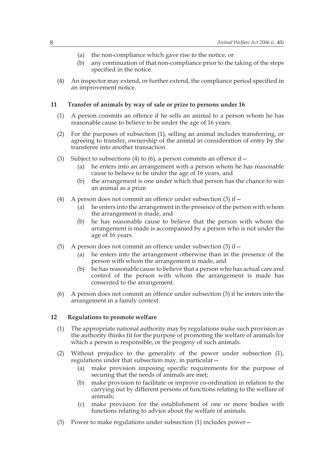- (a) the non-compliance which gave rise to the notice, or
- (b) any continuation of that non-compliance prior to the taking of the steps specified in the notice.
- (4) An inspector may extend, or further extend, the compliance period specified in an improvement notice.

#### **11 Transfer of animals by way of sale or prize to persons under 16**

- (1) A person commits an offence if he sells an animal to a person whom he has reasonable cause to believe to be under the age of 16 years.
- (2) For the purposes of subsection (1), selling an animal includes transferring, or agreeing to transfer, ownership of the animal in consideration of entry by the transferee into another transaction.
- (3) Subject to subsections (4) to (6), a person commits an offence if  $-$ 
	- (a) he enters into an arrangement with a person whom he has reasonable cause to believe to be under the age of 16 years, and
	- (b) the arrangement is one under which that person has the chance to win an animal as a prize.
- (4) A person does not commit an offence under subsection  $(3)$  if  $-$ 
	- (a) he enters into the arrangement in the presence of the person with whom the arrangement is made, and
	- (b) he has reasonable cause to believe that the person with whom the arrangement is made is accompanied by a person who is not under the age of 16 years.
- (5) A person does not commit an offence under subsection  $(3)$  if  $-$ 
	- (a) he enters into the arrangement otherwise than in the presence of the person with whom the arrangement is made, and
	- (b) he has reasonable cause to believe that a person who has actual care and control of the person with whom the arrangement is made has consented to the arrangement.
- (6) A person does not commit an offence under subsection (3) if he enters into the arrangement in a family context.

#### **12 Regulations to promote welfare**

- (1) The appropriate national authority may by regulations make such provision as the authority thinks fit for the purpose of promoting the welfare of animals for which a person is responsible, or the progeny of such animals.
- (2) Without prejudice to the generality of the power under subsection (1), regulations under that subsection may, in particular—
	- (a) make provision imposing specific requirements for the purpose of securing that the needs of animals are met;
	- (b) make provision to facilitate or improve co-ordination in relation to the carrying out by different persons of functions relating to the welfare of animals;
	- (c) make provision for the establishment of one or more bodies with functions relating to advice about the welfare of animals.
- (3) Power to make regulations under subsection (1) includes power—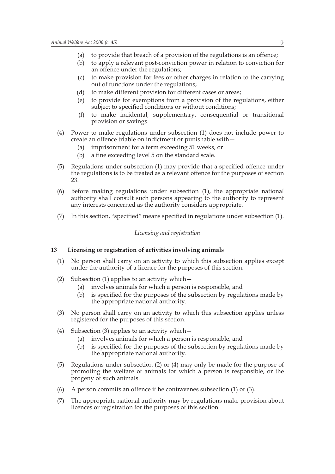- (a) to provide that breach of a provision of the regulations is an offence;
- (b) to apply a relevant post-conviction power in relation to conviction for an offence under the regulations;
- (c) to make provision for fees or other charges in relation to the carrying out of functions under the regulations;
- (d) to make different provision for different cases or areas;
- (e) to provide for exemptions from a provision of the regulations, either subject to specified conditions or without conditions;
- (f) to make incidental, supplementary, consequential or transitional provision or savings.
- (4) Power to make regulations under subsection (1) does not include power to create an offence triable on indictment or punishable with—
	- (a) imprisonment for a term exceeding 51 weeks, or
	- (b) a fine exceeding level 5 on the standard scale.
- (5) Regulations under subsection (1) may provide that a specified offence under the regulations is to be treated as a relevant offence for the purposes of section 23.
- (6) Before making regulations under subsection (1), the appropriate national authority shall consult such persons appearing to the authority to represent any interests concerned as the authority considers appropriate.
- (7) In this section, "specified" means specified in regulations under subsection (1).

#### *Licensing and registration*

#### **13 Licensing or registration of activities involving animals**

- (1) No person shall carry on an activity to which this subsection applies except under the authority of a licence for the purposes of this section.
- (2) Subsection (1) applies to an activity which—
	- (a) involves animals for which a person is responsible, and
	- (b) is specified for the purposes of the subsection by regulations made by the appropriate national authority.
- (3) No person shall carry on an activity to which this subsection applies unless registered for the purposes of this section.
- (4) Subsection (3) applies to an activity which—
	- (a) involves animals for which a person is responsible, and
	- (b) is specified for the purposes of the subsection by regulations made by the appropriate national authority.
- (5) Regulations under subsection (2) or (4) may only be made for the purpose of promoting the welfare of animals for which a person is responsible, or the progeny of such animals.
- (6) A person commits an offence if he contravenes subsection (1) or (3).
- (7) The appropriate national authority may by regulations make provision about licences or registration for the purposes of this section.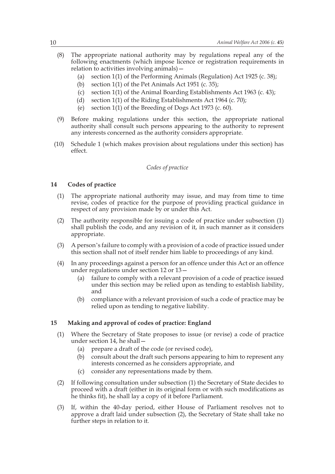- (8) The appropriate national authority may by regulations repeal any of the following enactments (which impose licence or registration requirements in relation to activities involving animals)—
	- (a) section 1(1) of the Performing Animals (Regulation) Act 1925 (c. 38);
	- (b) section  $1(1)$  of the Pet Animals Act 1951 (c. 35);
	- (c) section 1(1) of the Animal Boarding Establishments Act 1963 (c. 43);
	- (d) section 1(1) of the Riding Establishments Act 1964 (c. 70);
	- (e) section 1(1) of the Breeding of Dogs Act 1973 (c. 60).
- (9) Before making regulations under this section, the appropriate national authority shall consult such persons appearing to the authority to represent any interests concerned as the authority considers appropriate.
- (10) Schedule 1 (which makes provision about regulations under this section) has effect.

#### *Codes of practice*

#### **14 Codes of practice**

- (1) The appropriate national authority may issue, and may from time to time revise, codes of practice for the purpose of providing practical guidance in respect of any provision made by or under this Act.
- (2) The authority responsible for issuing a code of practice under subsection (1) shall publish the code, and any revision of it, in such manner as it considers appropriate.
- (3) A person's failure to comply with a provision of a code of practice issued under this section shall not of itself render him liable to proceedings of any kind.
- (4) In any proceedings against a person for an offence under this Act or an offence under regulations under section 12 or 13—
	- (a) failure to comply with a relevant provision of a code of practice issued under this section may be relied upon as tending to establish liability, and
	- (b) compliance with a relevant provision of such a code of practice may be relied upon as tending to negative liability.

#### **15 Making and approval of codes of practice: England**

- (1) Where the Secretary of State proposes to issue (or revise) a code of practice under section 14, he shall—
	- (a) prepare a draft of the code (or revised code),
	- (b) consult about the draft such persons appearing to him to represent any interests concerned as he considers appropriate, and
	- (c) consider any representations made by them.
- (2) If following consultation under subsection (1) the Secretary of State decides to proceed with a draft (either in its original form or with such modifications as he thinks fit), he shall lay a copy of it before Parliament.
- (3) If, within the 40-day period, either House of Parliament resolves not to approve a draft laid under subsection (2), the Secretary of State shall take no further steps in relation to it.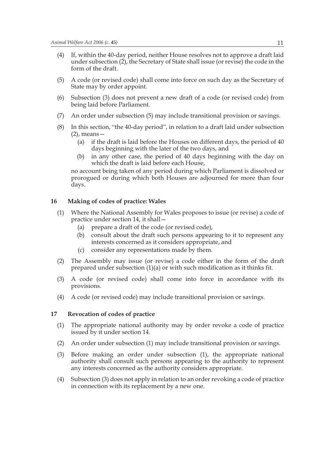- (4) If, within the 40-day period, neither House resolves not to approve a draft laid under subsection (2), the Secretary of State shall issue (or revise) the code in the form of the draft.
- (5) A code (or revised code) shall come into force on such day as the Secretary of State may by order appoint.
- (6) Subsection (3) does not prevent a new draft of a code (or revised code) from being laid before Parliament.
- (7) An order under subsection (5) may include transitional provision or savings.
- (8) In this section, "the 40-day period", in relation to a draft laid under subsection  $(2)$ , means —
	- (a) if the draft is laid before the Houses on different days, the period of 40 days beginning with the later of the two days, and
	- (b) in any other case, the period of 40 days beginning with the day on which the draft is laid before each House,

no account being taken of any period during which Parliament is dissolved or prorogued or during which both Houses are adjourned for more than four days.

#### **16 Making of codes of practice: Wales**

- (1) Where the National Assembly for Wales proposes to issue (or revise) a code of practice under section 14, it shall—
	- (a) prepare a draft of the code (or revised code),
	- (b) consult about the draft such persons appearing to it to represent any interests concerned as it considers appropriate, and
	- (c) consider any representations made by them.
- (2) The Assembly may issue (or revise) a code either in the form of the draft prepared under subsection (1)(a) or with such modification as it thinks fit.
- (3) A code (or revised code) shall come into force in accordance with its provisions.
- (4) A code (or revised code) may include transitional provision or savings.

#### **17 Revocation of codes of practice**

- (1) The appropriate national authority may by order revoke a code of practice issued by it under section 14.
- (2) An order under subsection (1) may include transitional provision or savings.
- (3) Before making an order under subsection (1), the appropriate national authority shall consult such persons appearing to the authority to represent any interests concerned as the authority considers appropriate.
- (4) Subsection (3) does not apply in relation to an order revoking a code of practice in connection with its replacement by a new one.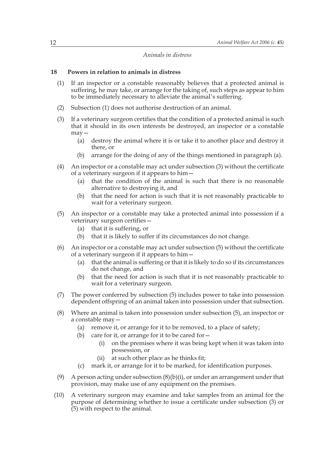#### *Animals in distress*

#### **18 Powers in relation to animals in distress**

- (1) If an inspector or a constable reasonably believes that a protected animal is suffering, he may take, or arrange for the taking of, such steps as appear to him to be immediately necessary to alleviate the animal's suffering.
- (2) Subsection (1) does not authorise destruction of an animal.
- (3) If a veterinary surgeon certifies that the condition of a protected animal is such that it should in its own interests be destroyed, an inspector or a constable may—
	- (a) destroy the animal where it is or take it to another place and destroy it there, or
	- (b) arrange for the doing of any of the things mentioned in paragraph (a).
- (4) An inspector or a constable may act under subsection (3) without the certificate of a veterinary surgeon if it appears to him—
	- (a) that the condition of the animal is such that there is no reasonable alternative to destroying it, and
	- (b) that the need for action is such that it is not reasonably practicable to wait for a veterinary surgeon.
- (5) An inspector or a constable may take a protected animal into possession if a veterinary surgeon certifies—
	- (a) that it is suffering, or
	- (b) that it is likely to suffer if its circumstances do not change.
- (6) An inspector or a constable may act under subsection (5) without the certificate of a veterinary surgeon if it appears to him—
	- (a) that the animal is suffering or that it is likely to do so if its circumstances do not change, and
	- (b) that the need for action is such that it is not reasonably practicable to wait for a veterinary surgeon.
- (7) The power conferred by subsection (5) includes power to take into possession dependent offspring of an animal taken into possession under that subsection.
- (8) Where an animal is taken into possession under subsection (5), an inspector or a constable may—
	- (a) remove it, or arrange for it to be removed, to a place of safety;
	- (b) care for it, or arrange for it to be cared for  $-$ 
		- (i) on the premises where it was being kept when it was taken into possession, or
		- (ii) at such other place as he thinks fit;
	- (c) mark it, or arrange for it to be marked, for identification purposes.
- (9) A person acting under subsection  $(8)(b)(i)$ , or under an arrangement under that provision, may make use of any equipment on the premises.
- (10) A veterinary surgeon may examine and take samples from an animal for the purpose of determining whether to issue a certificate under subsection (3) or (5) with respect to the animal.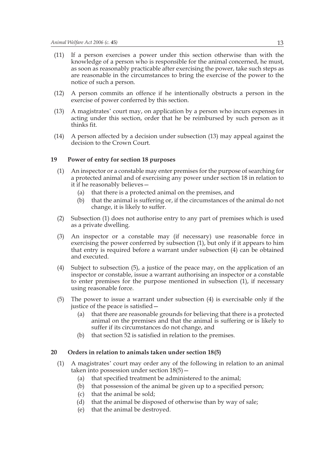- (11) If a person exercises a power under this section otherwise than with the knowledge of a person who is responsible for the animal concerned, he must, as soon as reasonably practicable after exercising the power, take such steps as are reasonable in the circumstances to bring the exercise of the power to the notice of such a person.
- (12) A person commits an offence if he intentionally obstructs a person in the exercise of power conferred by this section.
- (13) A magistrates' court may, on application by a person who incurs expenses in acting under this section, order that he be reimbursed by such person as it thinks fit.
- (14) A person affected by a decision under subsection (13) may appeal against the decision to the Crown Court.

#### **19 Power of entry for section 18 purposes**

- (1) An inspector or a constable may enter premises for the purpose of searching for a protected animal and of exercising any power under section 18 in relation to it if he reasonably believes—
	- (a) that there is a protected animal on the premises, and
	- (b) that the animal is suffering or, if the circumstances of the animal do not change, it is likely to suffer.
- (2) Subsection (1) does not authorise entry to any part of premises which is used as a private dwelling.
- (3) An inspector or a constable may (if necessary) use reasonable force in exercising the power conferred by subsection (1), but only if it appears to him that entry is required before a warrant under subsection (4) can be obtained and executed.
- (4) Subject to subsection (5), a justice of the peace may, on the application of an inspector or constable, issue a warrant authorising an inspector or a constable to enter premises for the purpose mentioned in subsection (1), if necessary using reasonable force.
- (5) The power to issue a warrant under subsection (4) is exercisable only if the justice of the peace is satisfied—
	- (a) that there are reasonable grounds for believing that there is a protected animal on the premises and that the animal is suffering or is likely to suffer if its circumstances do not change, and
	- (b) that section 52 is satisfied in relation to the premises.

#### **20 Orders in relation to animals taken under section 18(5)**

- (1) A magistrates' court may order any of the following in relation to an animal taken into possession under section 18(5)—
	- (a) that specified treatment be administered to the animal;
	- (b) that possession of the animal be given up to a specified person;
	- (c) that the animal be sold;
	- (d) that the animal be disposed of otherwise than by way of sale;
	- (e) that the animal be destroyed.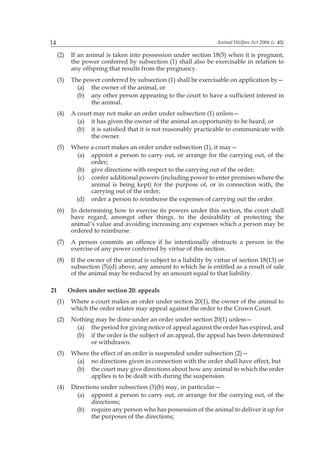- (2) If an animal is taken into possession under section 18(5) when it is pregnant, the power conferred by subsection (1) shall also be exercisable in relation to any offspring that results from the pregnancy.
- (3) The power conferred by subsection (1) shall be exercisable on application by  $-$ 
	- (a) the owner of the animal, or
	- (b) any other person appearing to the court to have a sufficient interest in the animal.
- (4) A court may not make an order under subsection (1) unless—
	- (a) it has given the owner of the animal an opportunity to be heard, or
	- (b) it is satisfied that it is not reasonably practicable to communicate with the owner.
- (5) Where a court makes an order under subsection  $(1)$ , it may  $-$ 
	- (a) appoint a person to carry out, or arrange for the carrying out, of the order;
	- (b) give directions with respect to the carrying out of the order;
	- (c) confer additional powers (including power to enter premises where the animal is being kept) for the purpose of, or in connection with, the carrying out of the order;
	- (d) order a person to reimburse the expenses of carrying out the order.
- (6) In determining how to exercise its powers under this section, the court shall have regard, amongst other things, to the desirability of protecting the animal's value and avoiding increasing any expenses which a person may be ordered to reimburse.
- (7) A person commits an offence if he intentionally obstructs a person in the exercise of any power conferred by virtue of this section.
- (8) If the owner of the animal is subject to a liability by virtue of section 18(13) or subsection  $(5)(d)$  above, any amount to which he is entitled as a result of sale of the animal may be reduced by an amount equal to that liability.

#### **21 Orders under section 20: appeals**

- (1) Where a court makes an order under section 20(1), the owner of the animal to which the order relates may appeal against the order to the Crown Court.
- (2) Nothing may be done under an order under section 20(1) unless—
	- (a) the period for giving notice of appeal against the order has expired, and
	- (b) if the order is the subject of an appeal, the appeal has been determined or withdrawn.
- (3) Where the effect of an order is suspended under subsection  $(2)$  -
	- (a) no directions given in connection with the order shall have effect, but
	- (b) the court may give directions about how any animal to which the order applies is to be dealt with during the suspension.
- (4) Directions under subsection  $(3)(b)$  may, in particular
	- (a) appoint a person to carry out, or arrange for the carrying out, of the directions;
	- (b) require any person who has possession of the animal to deliver it up for the purposes of the directions;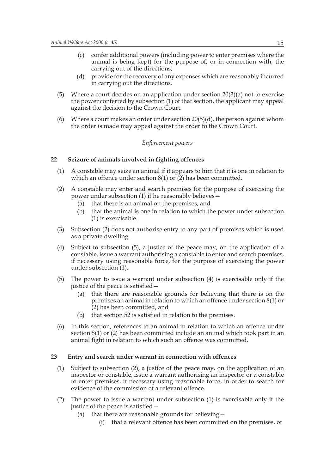- (c) confer additional powers (including power to enter premises where the animal is being kept) for the purpose of, or in connection with, the carrying out of the directions;
- (d) provide for the recovery of any expenses which are reasonably incurred in carrying out the directions.
- (5) Where a court decides on an application under section  $20(3)(a)$  not to exercise the power conferred by subsection (1) of that section, the applicant may appeal against the decision to the Crown Court.
- (6) Where a court makes an order under section  $20(5)(d)$ , the person against whom the order is made may appeal against the order to the Crown Court.

#### *Enforcement powers*

#### **22 Seizure of animals involved in fighting offences**

- (1) A constable may seize an animal if it appears to him that it is one in relation to which an offence under section 8(1) or  $(2)$  has been committed.
- (2) A constable may enter and search premises for the purpose of exercising the power under subsection (1) if he reasonably believes—
	- (a) that there is an animal on the premises, and
	- (b) that the animal is one in relation to which the power under subsection (1) is exercisable.
- (3) Subsection (2) does not authorise entry to any part of premises which is used as a private dwelling.
- (4) Subject to subsection (5), a justice of the peace may, on the application of a constable, issue a warrant authorising a constable to enter and search premises, if necessary using reasonable force, for the purpose of exercising the power under subsection (1).
- (5) The power to issue a warrant under subsection (4) is exercisable only if the justice of the peace is satisfied—
	- (a) that there are reasonable grounds for believing that there is on the premises an animal in relation to which an offence under section 8(1) or (2) has been committed, and
	- (b) that section 52 is satisfied in relation to the premises.
- (6) In this section, references to an animal in relation to which an offence under section 8(1) or (2) has been committed include an animal which took part in an animal fight in relation to which such an offence was committed.

#### **23 Entry and search under warrant in connection with offences**

- (1) Subject to subsection (2), a justice of the peace may, on the application of an inspector or constable, issue a warrant authorising an inspector or a constable to enter premises, if necessary using reasonable force, in order to search for evidence of the commission of a relevant offence.
- (2) The power to issue a warrant under subsection (1) is exercisable only if the justice of the peace is satisfied—
	- (a) that there are reasonable grounds for believing—
		- (i) that a relevant offence has been committed on the premises, or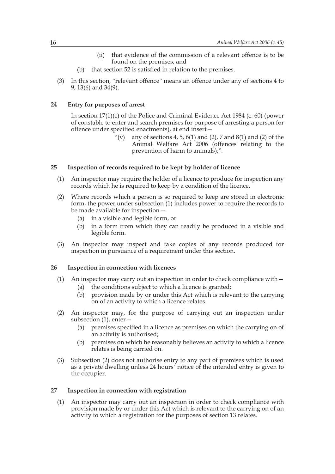- (ii) that evidence of the commission of a relevant offence is to be found on the premises, and
- (b) that section 52 is satisfied in relation to the premises.
- (3) In this section, "relevant offence" means an offence under any of sections 4 to 9, 13(6) and 34(9).

#### **24 Entry for purposes of arrest**

In section 17(1)(c) of the Police and Criminal Evidence Act 1984 (c. 60) (power of constable to enter and search premises for purpose of arresting a person for offence under specified enactments), at end insert—

> "(v) any of sections 4, 5, 6(1) and (2), 7 and 8(1) and (2) of the Animal Welfare Act 2006 (offences relating to the prevention of harm to animals);".

#### **25 Inspection of records required to be kept by holder of licence**

- (1) An inspector may require the holder of a licence to produce for inspection any records which he is required to keep by a condition of the licence.
- (2) Where records which a person is so required to keep are stored in electronic form, the power under subsection (1) includes power to require the records to be made available for inspection—
	- (a) in a visible and legible form, or
	- (b) in a form from which they can readily be produced in a visible and legible form.
- (3) An inspector may inspect and take copies of any records produced for inspection in pursuance of a requirement under this section.

#### **26 Inspection in connection with licences**

- (1) An inspector may carry out an inspection in order to check compliance with—
	- (a) the conditions subject to which a licence is granted;
	- (b) provision made by or under this Act which is relevant to the carrying on of an activity to which a licence relates.
- (2) An inspector may, for the purpose of carrying out an inspection under subsection (1), enter—
	- (a) premises specified in a licence as premises on which the carrying on of an activity is authorised;
	- (b) premises on which he reasonably believes an activity to which a licence relates is being carried on.
- (3) Subsection (2) does not authorise entry to any part of premises which is used as a private dwelling unless 24 hours' notice of the intended entry is given to the occupier.

#### **27 Inspection in connection with registration**

(1) An inspector may carry out an inspection in order to check compliance with provision made by or under this Act which is relevant to the carrying on of an activity to which a registration for the purposes of section 13 relates.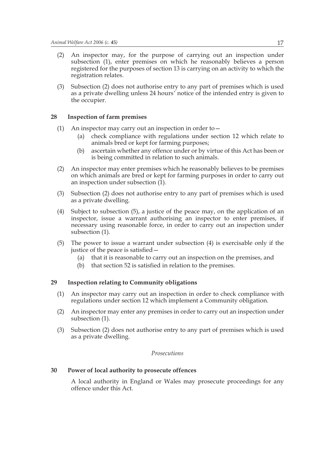- (2) An inspector may, for the purpose of carrying out an inspection under subsection (1), enter premises on which he reasonably believes a person registered for the purposes of section 13 is carrying on an activity to which the registration relates.
- (3) Subsection (2) does not authorise entry to any part of premises which is used as a private dwelling unless 24 hours' notice of the intended entry is given to the occupier.

#### **28 Inspection of farm premises**

- (1) An inspector may carry out an inspection in order to—
	- (a) check compliance with regulations under section 12 which relate to animals bred or kept for farming purposes;
	- (b) ascertain whether any offence under or by virtue of this Act has been or is being committed in relation to such animals.
- (2) An inspector may enter premises which he reasonably believes to be premises on which animals are bred or kept for farming purposes in order to carry out an inspection under subsection (1).
- (3) Subsection (2) does not authorise entry to any part of premises which is used as a private dwelling.
- (4) Subject to subsection (5), a justice of the peace may, on the application of an inspector, issue a warrant authorising an inspector to enter premises, if necessary using reasonable force, in order to carry out an inspection under subsection (1).
- (5) The power to issue a warrant under subsection (4) is exercisable only if the justice of the peace is satisfied—
	- (a) that it is reasonable to carry out an inspection on the premises, and
	- (b) that section 52 is satisfied in relation to the premises.

#### **29 Inspection relating to Community obligations**

- (1) An inspector may carry out an inspection in order to check compliance with regulations under section 12 which implement a Community obligation.
- (2) An inspector may enter any premises in order to carry out an inspection under subsection (1).
- (3) Subsection (2) does not authorise entry to any part of premises which is used as a private dwelling.

#### *Prosecutions*

#### **30 Power of local authority to prosecute offences**

A local authority in England or Wales may prosecute proceedings for any offence under this Act.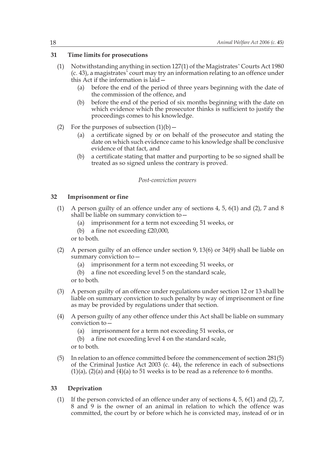#### **31 Time limits for prosecutions**

- (1) Notwithstanding anything in section 127(1) of the Magistrates' Courts Act 1980 (c. 43), a magistrates' court may try an information relating to an offence under this Act if the information is laid—
	- (a) before the end of the period of three years beginning with the date of the commission of the offence, and
	- (b) before the end of the period of six months beginning with the date on which evidence which the prosecutor thinks is sufficient to justify the proceedings comes to his knowledge.
- (2) For the purposes of subsection  $(1)(b)$ 
	- (a) a certificate signed by or on behalf of the prosecutor and stating the date on which such evidence came to his knowledge shall be conclusive evidence of that fact, and
	- (b) a certificate stating that matter and purporting to be so signed shall be treated as so signed unless the contrary is proved.

#### *Post-conviction powers*

#### **32 Imprisonment or fine**

- (1) A person guilty of an offence under any of sections 4, 5, 6(1) and (2), 7 and 8 shall be liable on summary conviction to—
	- (a) imprisonment for a term not exceeding 51 weeks, or
	- (b) a fine not exceeding £20,000,

or to both.

- (2) A person guilty of an offence under section 9, 13(6) or 34(9) shall be liable on summary conviction to—
	- (a) imprisonment for a term not exceeding 51 weeks, or
	- (b) a fine not exceeding level 5 on the standard scale,

or to both.

- (3) A person guilty of an offence under regulations under section 12 or 13 shall be liable on summary conviction to such penalty by way of imprisonment or fine as may be provided by regulations under that section.
- (4) A person guilty of any other offence under this Act shall be liable on summary conviction to—
	- (a) imprisonment for a term not exceeding 51 weeks, or
	- (b) a fine not exceeding level 4 on the standard scale, or to both.
- (5) In relation to an offence committed before the commencement of section 281(5) of the Criminal Justice Act 2003 (c. 44), the reference in each of subsections  $(1)(a)$ ,  $(2)(a)$  and  $(4)(a)$  to 51 weeks is to be read as a reference to 6 months.

#### **33 Deprivation**

(1) If the person convicted of an offence under any of sections 4, 5, 6(1) and (2), 7, 8 and 9 is the owner of an animal in relation to which the offence was committed, the court by or before which he is convicted may, instead of or in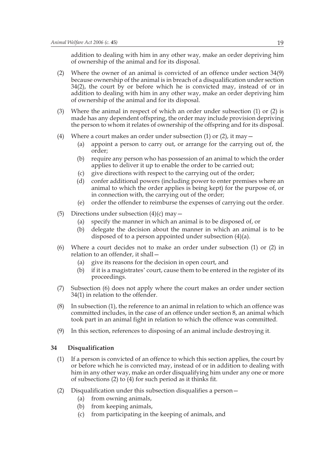addition to dealing with him in any other way, make an order depriving him of ownership of the animal and for its disposal.

- (2) Where the owner of an animal is convicted of an offence under section 34(9) because ownership of the animal is in breach of a disqualification under section 34(2), the court by or before which he is convicted may, instead of or in addition to dealing with him in any other way, make an order depriving him of ownership of the animal and for its disposal.
- (3) Where the animal in respect of which an order under subsection (1) or (2) is made has any dependent offspring, the order may include provision depriving the person to whom it relates of ownership of the offspring and for its disposal.
- (4) Where a court makes an order under subsection (1) or (2), it may  $-$ 
	- (a) appoint a person to carry out, or arrange for the carrying out of, the order;
	- (b) require any person who has possession of an animal to which the order applies to deliver it up to enable the order to be carried out;
	- (c) give directions with respect to the carrying out of the order;
	- (d) confer additional powers (including power to enter premises where an animal to which the order applies is being kept) for the purpose of, or in connection with, the carrying out of the order;
	- (e) order the offender to reimburse the expenses of carrying out the order.
- (5) Directions under subsection  $(4)(c)$  may  $-$ 
	- (a) specify the manner in which an animal is to be disposed of, or
	- (b) delegate the decision about the manner in which an animal is to be disposed of to a person appointed under subsection (4)(a).
- (6) Where a court decides not to make an order under subsection (1) or (2) in relation to an offender, it shall—
	- (a) give its reasons for the decision in open court, and
	- (b) if it is a magistrates' court, cause them to be entered in the register of its proceedings.
- (7) Subsection (6) does not apply where the court makes an order under section 34(1) in relation to the offender.
- (8) In subsection (1), the reference to an animal in relation to which an offence was committed includes, in the case of an offence under section 8, an animal which took part in an animal fight in relation to which the offence was committed.
- (9) In this section, references to disposing of an animal include destroying it.

#### **34 Disqualification**

- (1) If a person is convicted of an offence to which this section applies, the court by or before which he is convicted may, instead of or in addition to dealing with him in any other way, make an order disqualifying him under any one or more of subsections (2) to (4) for such period as it thinks fit.
- (2) Disqualification under this subsection disqualifies a person—
	- (a) from owning animals,
	- (b) from keeping animals,
	- (c) from participating in the keeping of animals, and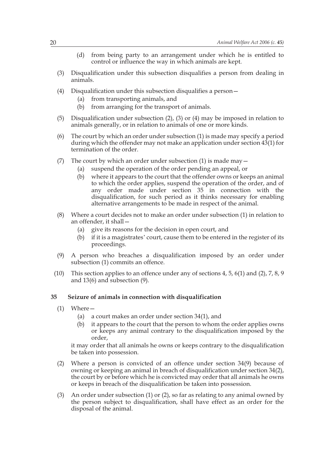- (d) from being party to an arrangement under which he is entitled to control or influence the way in which animals are kept.
- (3) Disqualification under this subsection disqualifies a person from dealing in animals.
- (4) Disqualification under this subsection disqualifies a person—
	- (a) from transporting animals, and
	- (b) from arranging for the transport of animals.
- (5) Disqualification under subsection (2), (3) or (4) may be imposed in relation to animals generally, or in relation to animals of one or more kinds.
- (6) The court by which an order under subsection (1) is made may specify a period during which the offender may not make an application under section 43(1) for termination of the order.
- (7) The court by which an order under subsection (1) is made may  $-$ 
	- (a) suspend the operation of the order pending an appeal, or
	- (b) where it appears to the court that the offender owns or keeps an animal to which the order applies, suspend the operation of the order, and of any order made under section 35 in connection with the disqualification, for such period as it thinks necessary for enabling alternative arrangements to be made in respect of the animal.
- (8) Where a court decides not to make an order under subsection (1) in relation to an offender, it shall—
	- (a) give its reasons for the decision in open court, and
	- (b) if it is a magistrates' court, cause them to be entered in the register of its proceedings.
- (9) A person who breaches a disqualification imposed by an order under subsection (1) commits an offence.
- (10) This section applies to an offence under any of sections 4, 5, 6(1) and (2), 7, 8, 9 and 13(6) and subsection (9).

#### **35 Seizure of animals in connection with disqualification**

- (1) Where—
	- (a) a court makes an order under section 34(1), and
	- (b) it appears to the court that the person to whom the order applies owns or keeps any animal contrary to the disqualification imposed by the order,

it may order that all animals he owns or keeps contrary to the disqualification be taken into possession.

- (2) Where a person is convicted of an offence under section 34(9) because of owning or keeping an animal in breach of disqualification under section 34(2), the court by or before which he is convicted may order that all animals he owns or keeps in breach of the disqualification be taken into possession.
- (3) An order under subsection (1) or (2), so far as relating to any animal owned by the person subject to disqualification, shall have effect as an order for the disposal of the animal.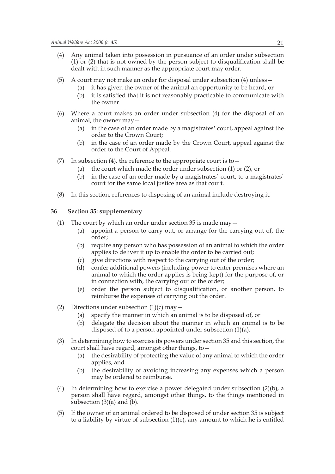- (4) Any animal taken into possession in pursuance of an order under subsection (1) or (2) that is not owned by the person subject to disqualification shall be dealt with in such manner as the appropriate court may order.
- (5) A court may not make an order for disposal under subsection (4) unless—
	- (a) it has given the owner of the animal an opportunity to be heard, or
	- (b) it is satisfied that it is not reasonably practicable to communicate with the owner.
- (6) Where a court makes an order under subsection (4) for the disposal of an animal, the owner may—
	- (a) in the case of an order made by a magistrates' court, appeal against the order to the Crown Court;
	- (b) in the case of an order made by the Crown Court, appeal against the order to the Court of Appeal.
- (7) In subsection (4), the reference to the appropriate court is to  $-$ 
	- (a) the court which made the order under subsection (1) or (2), or
	- (b) in the case of an order made by a magistrates' court, to a magistrates' court for the same local justice area as that court.
- (8) In this section, references to disposing of an animal include destroying it.

#### **36 Section 35: supplementary**

- (1) The court by which an order under section 35 is made may  $-$ 
	- (a) appoint a person to carry out, or arrange for the carrying out of, the order;
	- (b) require any person who has possession of an animal to which the order applies to deliver it up to enable the order to be carried out;
	- (c) give directions with respect to the carrying out of the order;
	- (d) confer additional powers (including power to enter premises where an animal to which the order applies is being kept) for the purpose of, or in connection with, the carrying out of the order;
	- (e) order the person subject to disqualification, or another person, to reimburse the expenses of carrying out the order.
- (2) Directions under subsection  $(1)(c)$  may  $-$ 
	- (a) specify the manner in which an animal is to be disposed of, or
	- (b) delegate the decision about the manner in which an animal is to be disposed of to a person appointed under subsection (1)(a).
- (3) In determining how to exercise its powers under section 35 and this section, the court shall have regard, amongst other things, to—
	- (a) the desirability of protecting the value of any animal to which the order applies, and
	- (b) the desirability of avoiding increasing any expenses which a person may be ordered to reimburse.
- (4) In determining how to exercise a power delegated under subsection (2)(b), a person shall have regard, amongst other things, to the things mentioned in subsection  $(3)(a)$  and  $(b)$ .
- (5) If the owner of an animal ordered to be disposed of under section 35 is subject to a liability by virtue of subsection  $(1)(e)$ , any amount to which he is entitled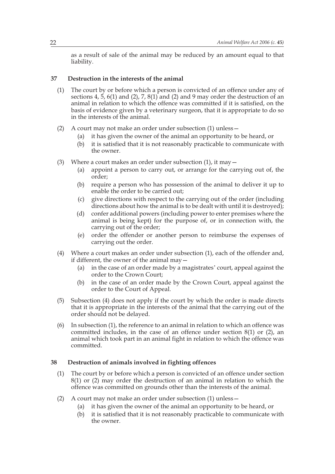as a result of sale of the animal may be reduced by an amount equal to that liability.

#### **37 Destruction in the interests of the animal**

- (1) The court by or before which a person is convicted of an offence under any of sections 4,  $\frac{1}{2}$ , 6(1) and (2), 7, 8(1) and (2) and 9 may order the destruction of an animal in relation to which the offence was committed if it is satisfied, on the basis of evidence given by a veterinary surgeon, that it is appropriate to do so in the interests of the animal.
- (2) A court may not make an order under subsection (1) unless—
	- (a) it has given the owner of the animal an opportunity to be heard, or
	- (b) it is satisfied that it is not reasonably practicable to communicate with the owner.
- (3) Where a court makes an order under subsection  $(1)$ , it may  $-$ 
	- (a) appoint a person to carry out, or arrange for the carrying out of, the order;
	- (b) require a person who has possession of the animal to deliver it up to enable the order to be carried out;
	- (c) give directions with respect to the carrying out of the order (including directions about how the animal is to be dealt with until it is destroyed);
	- (d) confer additional powers (including power to enter premises where the animal is being kept) for the purpose of, or in connection with, the carrying out of the order;
	- (e) order the offender or another person to reimburse the expenses of carrying out the order.
- (4) Where a court makes an order under subsection (1), each of the offender and, if different, the owner of the animal may—
	- (a) in the case of an order made by a magistrates' court, appeal against the order to the Crown Court;
	- (b) in the case of an order made by the Crown Court, appeal against the order to the Court of Appeal.
- (5) Subsection (4) does not apply if the court by which the order is made directs that it is appropriate in the interests of the animal that the carrying out of the order should not be delayed.
- (6) In subsection (1), the reference to an animal in relation to which an offence was committed includes, in the case of an offence under section 8(1) or (2), an animal which took part in an animal fight in relation to which the offence was committed.

#### **38 Destruction of animals involved in fighting offences**

- (1) The court by or before which a person is convicted of an offence under section 8(1) or (2) may order the destruction of an animal in relation to which the offence was committed on grounds other than the interests of the animal.
- (2) A court may not make an order under subsection (1) unless—
	- (a) it has given the owner of the animal an opportunity to be heard, or
	- (b) it is satisfied that it is not reasonably practicable to communicate with the owner.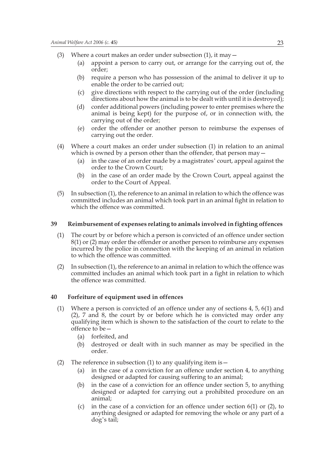- (3) Where a court makes an order under subsection  $(1)$ , it may  $-$ 
	- (a) appoint a person to carry out, or arrange for the carrying out of, the order;
	- (b) require a person who has possession of the animal to deliver it up to enable the order to be carried out;
	- (c) give directions with respect to the carrying out of the order (including directions about how the animal is to be dealt with until it is destroyed);
	- (d) confer additional powers (including power to enter premises where the animal is being kept) for the purpose of, or in connection with, the carrying out of the order;
	- (e) order the offender or another person to reimburse the expenses of carrying out the order.
- (4) Where a court makes an order under subsection (1) in relation to an animal which is owned by a person other than the offender, that person may  $-$ 
	- (a) in the case of an order made by a magistrates' court, appeal against the order to the Crown Court;
	- (b) in the case of an order made by the Crown Court, appeal against the order to the Court of Appeal.
- (5) In subsection (1), the reference to an animal in relation to which the offence was committed includes an animal which took part in an animal fight in relation to which the offence was committed.

#### **39 Reimbursement of expenses relating to animals involved in fighting offences**

- (1) The court by or before which a person is convicted of an offence under section 8(1) or (2) may order the offender or another person to reimburse any expenses incurred by the police in connection with the keeping of an animal in relation to which the offence was committed.
- (2) In subsection (1), the reference to an animal in relation to which the offence was committed includes an animal which took part in a fight in relation to which the offence was committed.

#### **40 Forfeiture of equipment used in offences**

- (1) Where a person is convicted of an offence under any of sections 4, 5, 6(1) and (2), 7 and 8, the court by or before which he is convicted may order any qualifying item which is shown to the satisfaction of the court to relate to the offence to be—
	- (a) forfeited, and
	- (b) destroyed or dealt with in such manner as may be specified in the order.
- (2) The reference in subsection (1) to any qualifying item is  $-$ 
	- (a) in the case of a conviction for an offence under section 4, to anything designed or adapted for causing suffering to an animal;
	- (b) in the case of a conviction for an offence under section 5, to anything designed or adapted for carrying out a prohibited procedure on an animal;
	- (c) in the case of a conviction for an offence under section 6(1) or (2), to anything designed or adapted for removing the whole or any part of a dog's tail;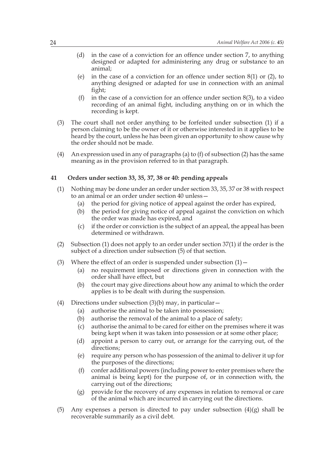- (d) in the case of a conviction for an offence under section 7, to anything designed or adapted for administering any drug or substance to an animal;
- (e) in the case of a conviction for an offence under section  $8(1)$  or  $(2)$ , to anything designed or adapted for use in connection with an animal fight;
- (f) in the case of a conviction for an offence under section  $8(3)$ , to a video recording of an animal fight, including anything on or in which the recording is kept.
- (3) The court shall not order anything to be forfeited under subsection (1) if a person claiming to be the owner of it or otherwise interested in it applies to be heard by the court, unless he has been given an opportunity to show cause why the order should not be made.
- (4) An expression used in any of paragraphs (a) to (f) of subsection (2) has the same meaning as in the provision referred to in that paragraph.

#### **41 Orders under section 33, 35, 37, 38 or 40: pending appeals**

- (1) Nothing may be done under an order under section 33, 35, 37 or 38 with respect to an animal or an order under section 40 unless—
	- (a) the period for giving notice of appeal against the order has expired,
	- (b) the period for giving notice of appeal against the conviction on which the order was made has expired, and
	- (c) if the order or conviction is the subject of an appeal, the appeal has been determined or withdrawn.
- (2) Subsection (1) does not apply to an order under section 37(1) if the order is the subject of a direction under subsection (5) of that section.
- (3) Where the effect of an order is suspended under subsection  $(1)$  -
	- (a) no requirement imposed or directions given in connection with the order shall have effect, but
	- (b) the court may give directions about how any animal to which the order applies is to be dealt with during the suspension.
- (4) Directions under subsection  $(3)(b)$  may, in particular
	- (a) authorise the animal to be taken into possession;
	- (b) authorise the removal of the animal to a place of safety;
	- (c) authorise the animal to be cared for either on the premises where it was being kept when it was taken into possession or at some other place;
	- (d) appoint a person to carry out, or arrange for the carrying out, of the directions;
	- (e) require any person who has possession of the animal to deliver it up for the purposes of the directions;
	- (f) confer additional powers (including power to enter premises where the animal is being kept) for the purpose of, or in connection with, the carrying out of the directions;
	- (g) provide for the recovery of any expenses in relation to removal or care of the animal which are incurred in carrying out the directions.
- (5) Any expenses a person is directed to pay under subsection  $(4)(g)$  shall be recoverable summarily as a civil debt.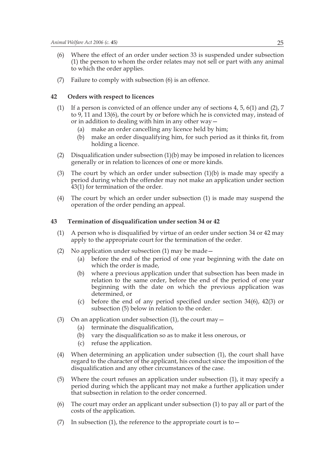- (6) Where the effect of an order under section 33 is suspended under subsection (1) the person to whom the order relates may not sell or part with any animal to which the order applies.
- (7) Failure to comply with subsection (6) is an offence.

#### **42 Orders with respect to licences**

- (1) If a person is convicted of an offence under any of sections 4, 5, 6(1) and (2), 7 to 9, 11 and 13(6), the court by or before which he is convicted may, instead of or in addition to dealing with him in any other way—
	- (a) make an order cancelling any licence held by him;
	- (b) make an order disqualifying him, for such period as it thinks fit, from holding a licence.
- (2) Disqualification under subsection (1)(b) may be imposed in relation to licences generally or in relation to licences of one or more kinds.
- (3) The court by which an order under subsection (1)(b) is made may specify a period during which the offender may not make an application under section 43(1) for termination of the order.
- (4) The court by which an order under subsection (1) is made may suspend the operation of the order pending an appeal.

#### **43 Termination of disqualification under section 34 or 42**

- (1) A person who is disqualified by virtue of an order under section 34 or 42 may apply to the appropriate court for the termination of the order.
- (2) No application under subsection (1) may be made—
	- (a) before the end of the period of one year beginning with the date on which the order is made,
	- (b) where a previous application under that subsection has been made in relation to the same order, before the end of the period of one year beginning with the date on which the previous application was determined, or
	- (c) before the end of any period specified under section 34(6), 42(3) or subsection (5) below in relation to the order.
- (3) On an application under subsection (1), the court may  $-$ 
	- (a) terminate the disqualification,
	- (b) vary the disqualification so as to make it less onerous, or
	- (c) refuse the application.
- (4) When determining an application under subsection (1), the court shall have regard to the character of the applicant, his conduct since the imposition of the disqualification and any other circumstances of the case.
- (5) Where the court refuses an application under subsection (1), it may specify a period during which the applicant may not make a further application under that subsection in relation to the order concerned.
- (6) The court may order an applicant under subsection (1) to pay all or part of the costs of the application.
- (7) In subsection (1), the reference to the appropriate court is to  $-$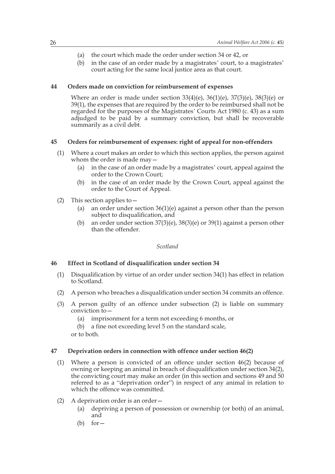- (a) the court which made the order under section 34 or 42, or
- (b) in the case of an order made by a magistrates' court, to a magistrates' court acting for the same local justice area as that court.

#### **44 Orders made on conviction for reimbursement of expenses**

Where an order is made under section  $33(4)(e)$ ,  $36(1)(e)$ ,  $37(3)(e)$ ,  $38(3)(e)$  or 39(1), the expenses that are required by the order to be reimbursed shall not be regarded for the purposes of the Magistrates' Courts Act 1980 (c. 43) as a sum adjudged to be paid by a summary conviction, but shall be recoverable summarily as a civil debt.

#### **45 Orders for reimbursement of expenses: right of appeal for non-offenders**

- (1) Where a court makes an order to which this section applies, the person against whom the order is made may—
	- (a) in the case of an order made by a magistrates' court, appeal against the order to the Crown Court;
	- (b) in the case of an order made by the Crown Court, appeal against the order to the Court of Appeal.
- (2) This section applies to—
	- (a) an order under section 36(1)(e) against a person other than the person subject to disqualification, and
	- (b) an order under section 37(3)(e), 38(3)(e) or 39(1) against a person other than the offender.

#### *Scotland*

#### **46 Effect in Scotland of disqualification under section 34**

- (1) Disqualification by virtue of an order under section 34(1) has effect in relation to Scotland.
- (2) A person who breaches a disqualification under section 34 commits an offence.
- (3) A person guilty of an offence under subsection (2) is liable on summary conviction to—
	- (a) imprisonment for a term not exceeding 6 months, or
	- (b) a fine not exceeding level 5 on the standard scale,
	- or to both.

#### **47 Deprivation orders in connection with offence under section 46(2)**

- (1) Where a person is convicted of an offence under section 46(2) because of owning or keeping an animal in breach of disqualification under section 34(2), the convicting court may make an order (in this section and sections 49 and 50 referred to as a "deprivation order") in respect of any animal in relation to which the offence was committed.
- (2) A deprivation order is an order—
	- (a) depriving a person of possession or ownership (or both) of an animal, and
	- (b) for  $-$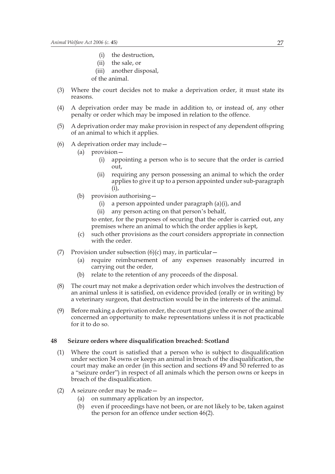- (i) the destruction,
- (ii) the sale, or
- (iii) another disposal,
- of the animal.
- (3) Where the court decides not to make a deprivation order, it must state its reasons.
- (4) A deprivation order may be made in addition to, or instead of, any other penalty or order which may be imposed in relation to the offence.
- (5) A deprivation order may make provision in respect of any dependent offspring of an animal to which it applies.
- (6) A deprivation order may include—
	- (a) provision—
		- (i) appointing a person who is to secure that the order is carried out,
		- (ii) requiring any person possessing an animal to which the order applies to give it up to a person appointed under sub-paragraph (i),
	- (b) provision authorising—
		- (i) a person appointed under paragraph (a)(i), and
		- (ii) any person acting on that person's behalf,

to enter, for the purposes of securing that the order is carried out, any premises where an animal to which the order applies is kept,

- (c) such other provisions as the court considers appropriate in connection with the order.
- (7) Provision under subsection  $(6)(c)$  may, in particular
	- (a) require reimbursement of any expenses reasonably incurred in carrying out the order,
	- (b) relate to the retention of any proceeds of the disposal.
- (8) The court may not make a deprivation order which involves the destruction of an animal unless it is satisfied, on evidence provided (orally or in writing) by a veterinary surgeon, that destruction would be in the interests of the animal.
- (9) Before making a deprivation order, the court must give the owner of the animal concerned an opportunity to make representations unless it is not practicable for it to do so.

#### **48 Seizure orders where disqualification breached: Scotland**

- (1) Where the court is satisfied that a person who is subject to disqualification under section 34 owns or keeps an animal in breach of the disqualification, the court may make an order (in this section and sections 49 and 50 referred to as a "seizure order") in respect of all animals which the person owns or keeps in breach of the disqualification.
- (2) A seizure order may be made—
	- (a) on summary application by an inspector,
	- (b) even if proceedings have not been, or are not likely to be, taken against the person for an offence under section 46(2).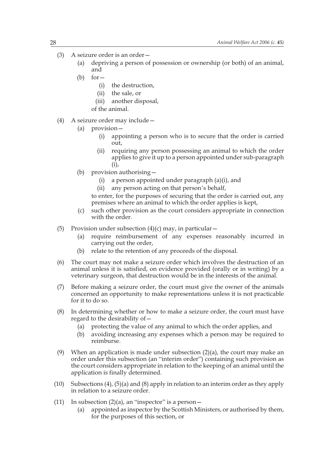- (3) A seizure order is an order—
	- (a) depriving a person of possession or ownership (or both) of an animal, and
	- $(b)$  for  $-$ 
		- (i) the destruction,
		- (ii) the sale, or
		- (iii) another disposal,
		- of the animal.
- (4) A seizure order may include—
	- (a) provision—
		- (i) appointing a person who is to secure that the order is carried out,
		- (ii) requiring any person possessing an animal to which the order applies to give it up to a person appointed under sub-paragraph (i),
	- (b) provision authorising—
		- (i) a person appointed under paragraph (a)(i), and
		- (ii) any person acting on that person's behalf,

to enter, for the purposes of securing that the order is carried out, any premises where an animal to which the order applies is kept,

- (c) such other provision as the court considers appropriate in connection with the order.
- (5) Provision under subsection  $(4)(c)$  may, in particular
	- (a) require reimbursement of any expenses reasonably incurred in carrying out the order,
	- (b) relate to the retention of any proceeds of the disposal.
- (6) The court may not make a seizure order which involves the destruction of an animal unless it is satisfied, on evidence provided (orally or in writing) by a veterinary surgeon, that destruction would be in the interests of the animal.
- (7) Before making a seizure order, the court must give the owner of the animals concerned an opportunity to make representations unless it is not practicable for it to do so.
- (8) In determining whether or how to make a seizure order, the court must have regard to the desirability of—
	- (a) protecting the value of any animal to which the order applies, and
	- (b) avoiding increasing any expenses which a person may be required to reimburse.
- (9) When an application is made under subsection  $(2)(a)$ , the court may make an order under this subsection (an "interim order") containing such provision as the court considers appropriate in relation to the keeping of an animal until the application is finally determined.
- (10) Subsections (4), (5)(a) and (8) apply in relation to an interim order as they apply in relation to a seizure order.
- (11) In subsection  $(2)(a)$ , an "inspector" is a person  $-$ 
	- (a) appointed as inspector by the Scottish Ministers, or authorised by them, for the purposes of this section, or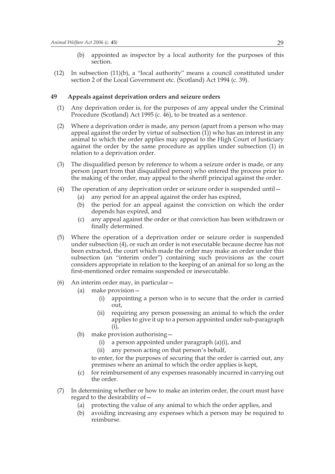- (b) appointed as inspector by a local authority for the purposes of this section.
- (12) In subsection (11)(b), a "local authority" means a council constituted under section 2 of the Local Government etc. (Scotland) Act 1994 (c. 39).

#### **49 Appeals against deprivation orders and seizure orders**

- (1) Any deprivation order is, for the purposes of any appeal under the Criminal Procedure (Scotland) Act 1995 (c. 46), to be treated as a sentence.
- (2) Where a deprivation order is made, any person (apart from a person who may appeal against the order by virtue of subsection  $(1)$ ) who has an interest in any animal to which the order applies may appeal to the High Court of Justiciary against the order by the same procedure as applies under subsection (1) in relation to a deprivation order.
- (3) The disqualified person by reference to whom a seizure order is made, or any person (apart from that disqualified person) who entered the process prior to the making of the order, may appeal to the sheriff principal against the order.
- (4) The operation of any deprivation order or seizure order is suspended until—
	- (a) any period for an appeal against the order has expired,
	- (b) the period for an appeal against the conviction on which the order depends has expired, and
	- (c) any appeal against the order or that conviction has been withdrawn or finally determined.
- (5) Where the operation of a deprivation order or seizure order is suspended under subsection (4), or such an order is not executable because decree has not been extracted, the court which made the order may make an order under this subsection (an "interim order") containing such provisions as the court considers appropriate in relation to the keeping of an animal for so long as the first-mentioned order remains suspended or inexecutable.
- (6) An interim order may, in particular—
	- (a) make provision—
		- (i) appointing a person who is to secure that the order is carried out,
		- (ii) requiring any person possessing an animal to which the order applies to give it up to a person appointed under sub-paragraph (i),
	- (b) make provision authorising—
		- (i) a person appointed under paragraph (a)(i), and
		- (ii) any person acting on that person's behalf,

to enter, for the purposes of securing that the order is carried out, any premises where an animal to which the order applies is kept,

- (c) for reimbursement of any expenses reasonably incurred in carrying out the order.
- (7) In determining whether or how to make an interim order, the court must have regard to the desirability of—
	- (a) protecting the value of any animal to which the order applies, and
	- (b) avoiding increasing any expenses which a person may be required to reimburse.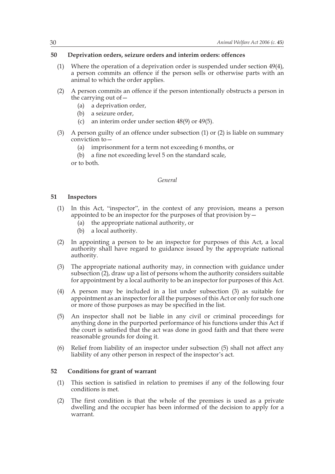#### **50 Deprivation orders, seizure orders and interim orders: offences**

- (1) Where the operation of a deprivation order is suspended under section 49(4), a person commits an offence if the person sells or otherwise parts with an animal to which the order applies.
- (2) A person commits an offence if the person intentionally obstructs a person in the carrying out of—
	- (a) a deprivation order,
	- (b) a seizure order,
	- (c) an interim order under section 48(9) or 49(5).
- (3) A person guilty of an offence under subsection (1) or (2) is liable on summary conviction to—
	- (a) imprisonment for a term not exceeding 6 months, or
	- (b) a fine not exceeding level 5 on the standard scale,

or to both.

#### *General*

#### **51 Inspectors**

- (1) In this Act, "inspector", in the context of any provision, means a person appointed to be an inspector for the purposes of that provision by  $-$ 
	- (a) the appropriate national authority, or
	- (b) a local authority.
- (2) In appointing a person to be an inspector for purposes of this Act, a local authority shall have regard to guidance issued by the appropriate national authority.
- (3) The appropriate national authority may, in connection with guidance under subsection (2), draw up a list of persons whom the authority considers suitable for appointment by a local authority to be an inspector for purposes of this Act.
- (4) A person may be included in a list under subsection (3) as suitable for appointment as an inspector for all the purposes of this Act or only for such one or more of those purposes as may be specified in the list.
- (5) An inspector shall not be liable in any civil or criminal proceedings for anything done in the purported performance of his functions under this Act if the court is satisfied that the act was done in good faith and that there were reasonable grounds for doing it.
- (6) Relief from liability of an inspector under subsection (5) shall not affect any liability of any other person in respect of the inspector's act.

#### **52 Conditions for grant of warrant**

- (1) This section is satisfied in relation to premises if any of the following four conditions is met.
- (2) The first condition is that the whole of the premises is used as a private dwelling and the occupier has been informed of the decision to apply for a warrant.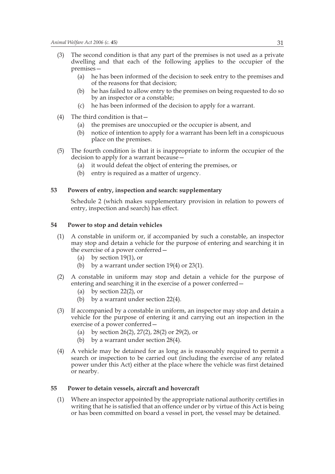- (3) The second condition is that any part of the premises is not used as a private dwelling and that each of the following applies to the occupier of the premises—
	- (a) he has been informed of the decision to seek entry to the premises and of the reasons for that decision;
	- (b) he has failed to allow entry to the premises on being requested to do so by an inspector or a constable;
	- (c) he has been informed of the decision to apply for a warrant.
- (4) The third condition is that—
	- (a) the premises are unoccupied or the occupier is absent, and
	- (b) notice of intention to apply for a warrant has been left in a conspicuous place on the premises.
- (5) The fourth condition is that it is inappropriate to inform the occupier of the decision to apply for a warrant because—
	- (a) it would defeat the object of entering the premises, or
	- (b) entry is required as a matter of urgency.

#### **53 Powers of entry, inspection and search: supplementary**

Schedule 2 (which makes supplementary provision in relation to powers of entry, inspection and search) has effect.

#### **54 Power to stop and detain vehicles**

- (1) A constable in uniform or, if accompanied by such a constable, an inspector may stop and detain a vehicle for the purpose of entering and searching it in the exercise of a power conferred—
	- (a) by section 19(1), or
	- (b) by a warrant under section  $19(4)$  or  $23(1)$ .
- (2) A constable in uniform may stop and detain a vehicle for the purpose of entering and searching it in the exercise of a power conferred—
	- (a) by section 22(2), or
	- (b) by a warrant under section 22(4).
- (3) If accompanied by a constable in uniform, an inspector may stop and detain a vehicle for the purpose of entering it and carrying out an inspection in the exercise of a power conferred—
	- (a) by section 26(2), 27(2), 28(2) or 29(2), or
	- (b) by a warrant under section 28(4).
- (4) A vehicle may be detained for as long as is reasonably required to permit a search or inspection to be carried out (including the exercise of any related power under this Act) either at the place where the vehicle was first detained or nearby.

#### **55 Power to detain vessels, aircraft and hovercraft**

(1) Where an inspector appointed by the appropriate national authority certifies in writing that he is satisfied that an offence under or by virtue of this Act is being or has been committed on board a vessel in port, the vessel may be detained.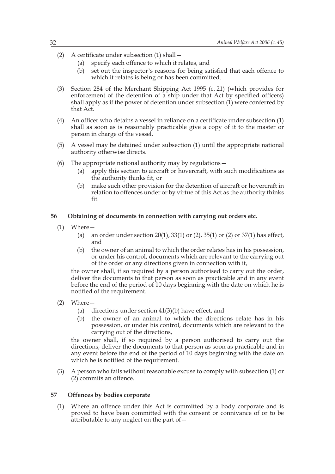- (2) A certificate under subsection (1) shall—
	- (a) specify each offence to which it relates, and
	- (b) set out the inspector's reasons for being satisfied that each offence to which it relates is being or has been committed.
- (3) Section 284 of the Merchant Shipping Act 1995 (c. 21) (which provides for enforcement of the detention of a ship under that Act by specified officers) shall apply as if the power of detention under subsection (1) were conferred by that Act.
- (4) An officer who detains a vessel in reliance on a certificate under subsection (1) shall as soon as is reasonably practicable give a copy of it to the master or person in charge of the vessel.
- (5) A vessel may be detained under subsection (1) until the appropriate national authority otherwise directs.
- (6) The appropriate national authority may by regulations—
	- (a) apply this section to aircraft or hovercraft, with such modifications as the authority thinks fit, or
	- (b) make such other provision for the detention of aircraft or hovercraft in relation to offences under or by virtue of this Act as the authority thinks fit.

#### **56 Obtaining of documents in connection with carrying out orders etc.**

- (1) Where—
	- (a) an order under section  $20(1)$ ,  $33(1)$  or  $(2)$ ,  $35(1)$  or  $(2)$  or  $37(1)$  has effect, and
	- (b) the owner of an animal to which the order relates has in his possession, or under his control, documents which are relevant to the carrying out of the order or any directions given in connection with it,

the owner shall, if so required by a person authorised to carry out the order, deliver the documents to that person as soon as practicable and in any event before the end of the period of 10 days beginning with the date on which he is notified of the requirement.

- (2) Where—
	- (a) directions under section 41(3)(b) have effect, and
	- (b) the owner of an animal to which the directions relate has in his possession, or under his control, documents which are relevant to the carrying out of the directions,

the owner shall, if so required by a person authorised to carry out the directions, deliver the documents to that person as soon as practicable and in any event before the end of the period of 10 days beginning with the date on which he is notified of the requirement.

(3) A person who fails without reasonable excuse to comply with subsection (1) or (2) commits an offence.

#### **57 Offences by bodies corporate**

(1) Where an offence under this Act is committed by a body corporate and is proved to have been committed with the consent or connivance of or to be attributable to any neglect on the part of  $-$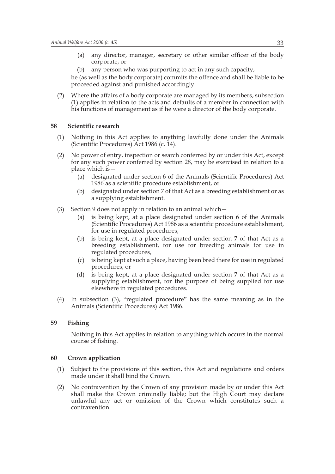- (a) any director, manager, secretary or other similar officer of the body corporate, or
- (b) any person who was purporting to act in any such capacity,

he (as well as the body corporate) commits the offence and shall be liable to be proceeded against and punished accordingly.

(2) Where the affairs of a body corporate are managed by its members, subsection (1) applies in relation to the acts and defaults of a member in connection with his functions of management as if he were a director of the body corporate.

#### **58 Scientific research**

- (1) Nothing in this Act applies to anything lawfully done under the Animals (Scientific Procedures) Act 1986 (c. 14).
- (2) No power of entry, inspection or search conferred by or under this Act, except for any such power conferred by section 28, may be exercised in relation to a place which is—
	- (a) designated under section 6 of the Animals (Scientific Procedures) Act 1986 as a scientific procedure establishment, or
	- (b) designated under section 7 of that Act as a breeding establishment or as a supplying establishment.
- (3) Section 9 does not apply in relation to an animal which—
	- (a) is being kept, at a place designated under section 6 of the Animals (Scientific Procedures) Act 1986 as a scientific procedure establishment, for use in regulated procedures,
	- (b) is being kept, at a place designated under section 7 of that Act as a breeding establishment, for use for breeding animals for use in regulated procedures,
	- (c) is being kept at such a place, having been bred there for use in regulated procedures, or
	- (d) is being kept, at a place designated under section 7 of that Act as a supplying establishment, for the purpose of being supplied for use elsewhere in regulated procedures.
- (4) In subsection (3), "regulated procedure" has the same meaning as in the Animals (Scientific Procedures) Act 1986.

#### **59 Fishing**

Nothing in this Act applies in relation to anything which occurs in the normal course of fishing.

#### **60 Crown application**

- (1) Subject to the provisions of this section, this Act and regulations and orders made under it shall bind the Crown.
- (2) No contravention by the Crown of any provision made by or under this Act shall make the Crown criminally liable; but the High Court may declare unlawful any act or omission of the Crown which constitutes such a contravention.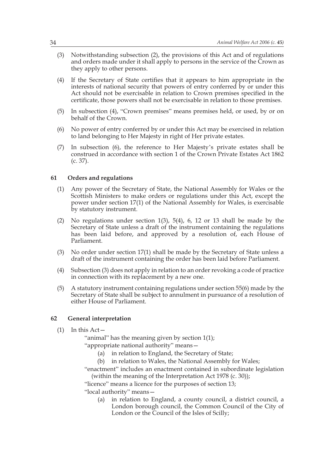- (3) Notwithstanding subsection (2), the provisions of this Act and of regulations and orders made under it shall apply to persons in the service of the Crown as they apply to other persons.
- (4) If the Secretary of State certifies that it appears to him appropriate in the interests of national security that powers of entry conferred by or under this Act should not be exercisable in relation to Crown premises specified in the certificate, those powers shall not be exercisable in relation to those premises.
- (5) In subsection (4), "Crown premises" means premises held, or used, by or on behalf of the Crown.
- (6) No power of entry conferred by or under this Act may be exercised in relation to land belonging to Her Majesty in right of Her private estates.
- (7) In subsection (6), the reference to Her Majesty's private estates shall be construed in accordance with section 1 of the Crown Private Estates Act 1862 (c. 37).

#### **61 Orders and regulations**

- (1) Any power of the Secretary of State, the National Assembly for Wales or the Scottish Ministers to make orders or regulations under this Act, except the power under section 17(1) of the National Assembly for Wales, is exercisable by statutory instrument.
- (2) No regulations under section  $1(3)$ ,  $5(4)$ , 6, 12 or 13 shall be made by the Secretary of State unless a draft of the instrument containing the regulations has been laid before, and approved by a resolution of, each House of Parliament.
- (3) No order under section 17(1) shall be made by the Secretary of State unless a draft of the instrument containing the order has been laid before Parliament.
- (4) Subsection (3) does not apply in relation to an order revoking a code of practice in connection with its replacement by a new one.
- (5) A statutory instrument containing regulations under section 55(6) made by the Secretary of State shall be subject to annulment in pursuance of a resolution of either House of Parliament.

#### **62 General interpretation**

 $(1)$  In this Act –

"animal" has the meaning given by section 1(1);

"appropriate national authority" means—

- (a) in relation to England, the Secretary of State;
- (b) in relation to Wales, the National Assembly for Wales;

"enactment" includes an enactment contained in subordinate legislation (within the meaning of the Interpretation Act 1978 (c. 30));

"licence" means a licence for the purposes of section 13;

"local authority" means—

(a) in relation to England, a county council, a district council, a London borough council, the Common Council of the City of London or the Council of the Isles of Scilly;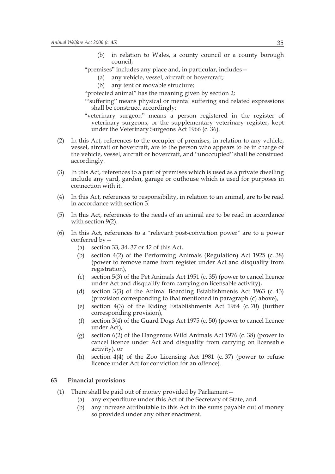- (b) in relation to Wales, a county council or a county borough council;
- "premises" includes any place and, in particular, includes—
	- (a) any vehicle, vessel, aircraft or hovercraft;
	- (b) any tent or movable structure;
- "protected animal" has the meaning given by section 2;
- '"suffering" means physical or mental suffering and related expressions shall be construed accordingly;
- "veterinary surgeon" means a person registered in the register of veterinary surgeons, or the supplementary veterinary register, kept under the Veterinary Surgeons Act 1966 (c. 36).
- (2) In this Act, references to the occupier of premises, in relation to any vehicle, vessel, aircraft or hovercraft, are to the person who appears to be in charge of the vehicle, vessel, aircraft or hovercraft, and "unoccupied" shall be construed accordingly.
- (3) In this Act, references to a part of premises which is used as a private dwelling include any yard, garden, garage or outhouse which is used for purposes in connection with it.
- (4) In this Act, references to responsibility, in relation to an animal, are to be read in accordance with section 3.
- (5) In this Act, references to the needs of an animal are to be read in accordance with section 9(2).
- (6) In this Act, references to a "relevant post-conviction power" are to a power conferred by—
	- (a) section 33, 34, 37 or 42 of this Act,
	- (b) section 4(2) of the Performing Animals (Regulation) Act 1925 (c. 38) (power to remove name from register under Act and disqualify from registration),
	- (c) section 5(3) of the Pet Animals Act 1951 (c. 35) (power to cancel licence under Act and disqualify from carrying on licensable activity),
	- (d) section 3(3) of the Animal Boarding Establishments Act 1963 (c. 43) (provision corresponding to that mentioned in paragraph (c) above),
	- (e) section 4(3) of the Riding Establishments Act 1964 (c. 70) (further corresponding provision),
	- (f) section 3(4) of the Guard Dogs Act 1975 (c. 50) (power to cancel licence under Act),
	- (g) section 6(2) of the Dangerous Wild Animals Act 1976 (c. 38) (power to cancel licence under Act and disqualify from carrying on licensable activity), or
	- (h) section 4(4) of the Zoo Licensing Act 1981 (c. 37) (power to refuse licence under Act for conviction for an offence).

#### **63 Financial provisions**

- (1) There shall be paid out of money provided by Parliament—
	- (a) any expenditure under this Act of the Secretary of State, and
	- (b) any increase attributable to this Act in the sums payable out of money so provided under any other enactment.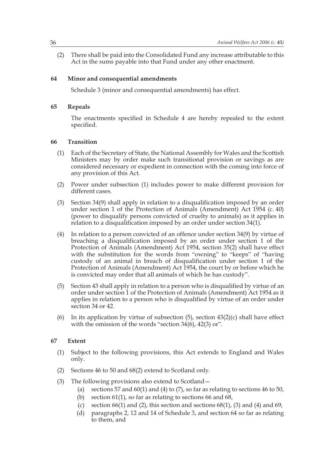(2) There shall be paid into the Consolidated Fund any increase attributable to this Act in the sums payable into that Fund under any other enactment.

#### **64 Minor and consequential amendments**

Schedule 3 (minor and consequential amendments) has effect.

#### **65 Repeals**

The enactments specified in Schedule 4 are hereby repealed to the extent specified.

#### **66 Transition**

- (1) Each of the Secretary of State, the National Assembly for Wales and the Scottish Ministers may by order make such transitional provision or savings as are considered necessary or expedient in connection with the coming into force of any provision of this Act.
- (2) Power under subsection (1) includes power to make different provision for different cases.
- (3) Section 34(9) shall apply in relation to a disqualification imposed by an order under section 1 of the Protection of Animals (Amendment) Act 1954 (c. 40) (power to disqualify persons convicted of cruelty to animals) as it applies in relation to a disqualification imposed by an order under section 34(1).
- (4) In relation to a person convicted of an offence under section 34(9) by virtue of breaching a disqualification imposed by an order under section 1 of the Protection of Animals (Amendment) Act 1954, section 35(2) shall have effect with the substitution for the words from "owning" to "keeps" of "having custody of an animal in breach of disqualification under section 1 of the Protection of Animals (Amendment) Act 1954, the court by or before which he is convicted may order that all animals of which he has custody".
- (5) Section 43 shall apply in relation to a person who is disqualified by virtue of an order under section 1 of the Protection of Animals (Amendment) Act 1954 as it applies in relation to a person who is disqualified by virtue of an order under section 34 or 42.
- (6) In its application by virtue of subsection  $(5)$ , section  $43(2)(c)$  shall have effect with the omission of the words "section 34(6), 42(3) or".

#### **67 Extent**

- (1) Subject to the following provisions, this Act extends to England and Wales only.
- (2) Sections 46 to 50 and 68(2) extend to Scotland only.
- (3) The following provisions also extend to Scotland—
	- (a) sections 57 and  $60(1)$  and  $(4)$  to  $(7)$ , so far as relating to sections 46 to 50,
	- (b) section 61(1), so far as relating to sections 66 and 68,
	- (c) section  $66(1)$  and  $(2)$ , this section and sections  $68(1)$ ,  $(3)$  and  $(4)$  and  $69$ ,
	- (d) paragraphs 2, 12 and 14 of Schedule 3, and section 64 so far as relating to them, and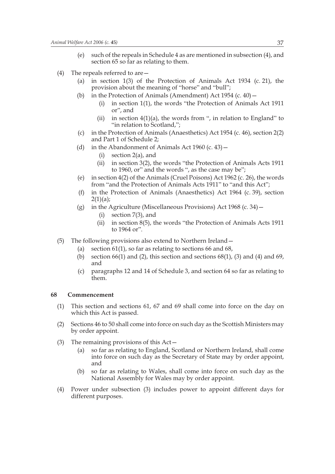- (e) such of the repeals in Schedule 4 as are mentioned in subsection (4), and section 65 so far as relating to them.
- (4) The repeals referred to are  $-$ 
	- (a) in section 1(3) of the Protection of Animals Act 1934 (c. 21), the provision about the meaning of "horse" and "bull";
	- (b) in the Protection of Animals (Amendment) Act  $1954$  (c.  $40$ )
		- (i) in section 1(1), the words "the Protection of Animals Act 1911 or", and
		- (ii) in section  $4(1)(a)$ , the words from ", in relation to England" to "in relation to Scotland,";
	- (c) in the Protection of Animals (Anaesthetics) Act 1954 (c. 46), section 2(2) and Part 1 of Schedule 2;
	- (d) in the Abandonment of Animals Act  $1960$  (c.  $43$ )
		- (i) section 2(a), and
		- (ii) in section 3(2), the words "the Protection of Animals Acts 1911 to 1960, or" and the words ", as the case may be";
	- (e) in section 4(2) of the Animals (Cruel Poisons) Act 1962 (c. 26), the words from "and the Protection of Animals Acts 1911" to "and this Act";
	- (f) in the Protection of Animals (Anaesthetics) Act 1964 (c. 39), section  $2(1)(a);$
	- (g) in the Agriculture (Miscellaneous Provisions) Act 1968 (c. 34)—
		- (i) section 7(3), and
		- (ii) in section 8(5), the words "the Protection of Animals Acts 1911 to 1964 or".
- (5) The following provisions also extend to Northern Ireland—
	- (a) section 61(1), so far as relating to sections 66 and 68,
	- (b) section  $66(1)$  and  $(2)$ , this section and sections  $68(1)$ ,  $(3)$  and  $(4)$  and  $69$ , and
	- (c) paragraphs 12 and 14 of Schedule 3, and section 64 so far as relating to them.

#### **68 Commencement**

- (1) This section and sections 61, 67 and 69 shall come into force on the day on which this Act is passed.
- (2) Sections 46 to 50 shall come into force on such day as the Scottish Ministers may by order appoint.
- (3) The remaining provisions of this Act—
	- (a) so far as relating to England, Scotland or Northern Ireland, shall come into force on such day as the Secretary of State may by order appoint, and
	- (b) so far as relating to Wales, shall come into force on such day as the National Assembly for Wales may by order appoint.
- (4) Power under subsection (3) includes power to appoint different days for different purposes.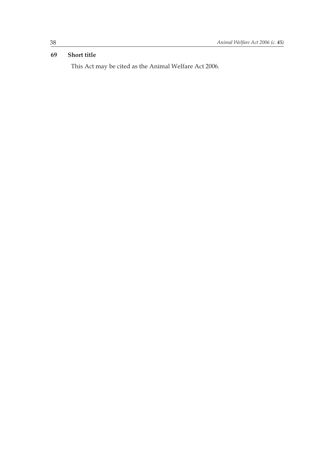#### **69 Short title**

This Act may be cited as the Animal Welfare Act 2006.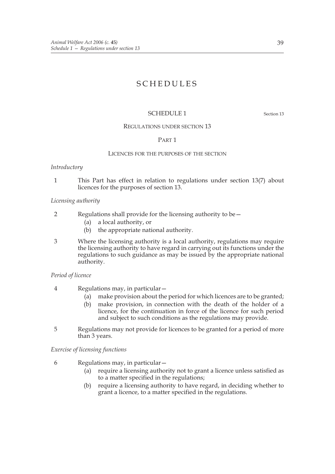### SCHEDULES

#### SCHEDULE 1 Section 13

#### REGULATIONS UNDER SECTION 13

#### PART 1

#### LICENCES FOR THE PURPOSES OF THE SECTION

#### *Introductory*

1 This Part has effect in relation to regulations under section 13(7) about licences for the purposes of section 13.

#### *Licensing authority*

- 2 Regulations shall provide for the licensing authority to be—
	- (a) a local authority, or
	- (b) the appropriate national authority.
- 3 Where the licensing authority is a local authority, regulations may require the licensing authority to have regard in carrying out its functions under the regulations to such guidance as may be issued by the appropriate national authority.

#### *Period of licence*

- 4 Regulations may, in particular—
	- (a) make provision about the period for which licences are to be granted;
	- (b) make provision, in connection with the death of the holder of a licence, for the continuation in force of the licence for such period and subject to such conditions as the regulations may provide.
- 5 Regulations may not provide for licences to be granted for a period of more than 3 years.

#### *Exercise of licensing functions*

- 6 Regulations may, in particular—
	- (a) require a licensing authority not to grant a licence unless satisfied as to a matter specified in the regulations;
	- (b) require a licensing authority to have regard, in deciding whether to grant a licence, to a matter specified in the regulations.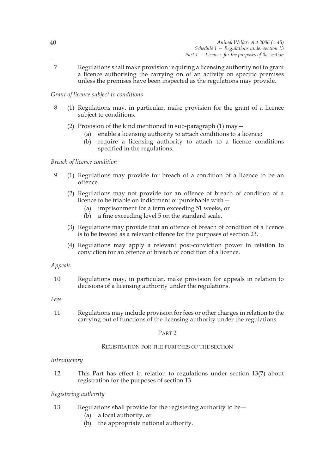7 Regulations shall make provision requiring a licensing authority not to grant a licence authorising the carrying on of an activity on specific premises unless the premises have been inspected as the regulations may provide.

*Grant of licence subject to conditions*

- 8 (1) Regulations may, in particular, make provision for the grant of a licence subject to conditions.
	- (2) Provision of the kind mentioned in sub-paragraph  $(1)$  may  $-$ 
		- (a) enable a licensing authority to attach conditions to a licence;
		- (b) require a licensing authority to attach to a licence conditions specified in the regulations.

#### *Breach of licence condition*

- 9 (1) Regulations may provide for breach of a condition of a licence to be an offence.
	- (2) Regulations may not provide for an offence of breach of condition of a licence to be triable on indictment or punishable with—
		- (a) imprisonment for a term exceeding 51 weeks, or
		- (b) a fine exceeding level 5 on the standard scale.
	- (3) Regulations may provide that an offence of breach of condition of a licence is to be treated as a relevant offence for the purposes of section 23.
	- (4) Regulations may apply a relevant post-conviction power in relation to conviction for an offence of breach of condition of a licence.

#### *Appeals*

10 Regulations may, in particular, make provision for appeals in relation to decisions of a licensing authority under the regulations.

*Fees*

11 Regulations may include provision for fees or other charges in relation to the carrying out of functions of the licensing authority under the regulations.

#### PART 2

#### REGISTRATION FOR THE PURPOSES OF THE SECTION

#### *Introductory*

12 This Part has effect in relation to regulations under section 13(7) about registration for the purposes of section 13.

#### *Registering authority*

- 13 Regulations shall provide for the registering authority to be—
	- (a) a local authority, or
	- (b) the appropriate national authority.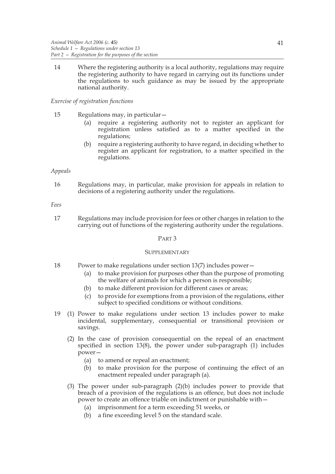14 Where the registering authority is a local authority, regulations may require the registering authority to have regard in carrying out its functions under the regulations to such guidance as may be issued by the appropriate national authority.

#### *Exercise of registration functions*

- 15 Regulations may, in particular—
	- (a) require a registering authority not to register an applicant for registration unless satisfied as to a matter specified in the regulations;
	- (b) require a registering authority to have regard, in deciding whether to register an applicant for registration, to a matter specified in the regulations.

#### *Appeals*

16 Regulations may, in particular, make provision for appeals in relation to decisions of a registering authority under the regulations.

#### *Fees*

17 Regulations may include provision for fees or other charges in relation to the carrying out of functions of the registering authority under the regulations.

#### PART 3

#### **SUPPLEMENTARY**

- 18 Power to make regulations under section 13(7) includes power—
	- (a) to make provision for purposes other than the purpose of promoting the welfare of animals for which a person is responsible;
	- (b) to make different provision for different cases or areas;
	- (c) to provide for exemptions from a provision of the regulations, either subject to specified conditions or without conditions.
- 19 (1) Power to make regulations under section 13 includes power to make incidental, supplementary, consequential or transitional provision or savings.
	- (2) In the case of provision consequential on the repeal of an enactment specified in section 13(8), the power under sub-paragraph (1) includes power—
		- (a) to amend or repeal an enactment;
		- (b) to make provision for the purpose of continuing the effect of an enactment repealed under paragraph (a).
	- (3) The power under sub-paragraph  $(2)(b)$  includes power to provide that breach of a provision of the regulations is an offence, but does not include power to create an offence triable on indictment or punishable with—
		- (a) imprisonment for a term exceeding 51 weeks, or
		- (b) a fine exceeding level 5 on the standard scale.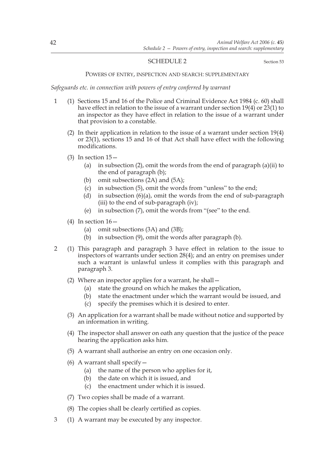#### SCHEDULE 2 Section 53

#### POWERS OF ENTRY, INSPECTION AND SEARCH: SUPPLEMENTARY

#### *Safeguards etc. in connection with powers of entry conferred by warrant*

- 1 (1) Sections 15 and 16 of the Police and Criminal Evidence Act 1984 (c. 60) shall have effect in relation to the issue of a warrant under section 19(4) or 23(1) to an inspector as they have effect in relation to the issue of a warrant under that provision to a constable.
	- (2) In their application in relation to the issue of a warrant under section 19(4) or 23(1), sections 15 and 16 of that Act shall have effect with the following modifications.
	- (3) In section 15—
		- (a) in subsection (2), omit the words from the end of paragraph (a)(ii) to the end of paragraph (b);
		- (b) omit subsections (2A) and (5A);
		- (c) in subsection (5), omit the words from "unless" to the end;
		- (d) in subsection  $(6)(a)$ , omit the words from the end of sub-paragraph (iii) to the end of sub-paragraph (iv);
		- (e) in subsection (7), omit the words from "(see" to the end.
	- (4) In section  $16$  -
		- (a) omit subsections (3A) and (3B);
		- (b) in subsection (9), omit the words after paragraph (b).
- 2 (1) This paragraph and paragraph 3 have effect in relation to the issue to inspectors of warrants under section 28(4); and an entry on premises under such a warrant is unlawful unless it complies with this paragraph and paragraph 3.
	- (2) Where an inspector applies for a warrant, he shall—
		- (a) state the ground on which he makes the application,
		- (b) state the enactment under which the warrant would be issued, and
		- (c) specify the premises which it is desired to enter.
	- (3) An application for a warrant shall be made without notice and supported by an information in writing.
	- (4) The inspector shall answer on oath any question that the justice of the peace hearing the application asks him.
	- (5) A warrant shall authorise an entry on one occasion only.
	- (6) A warrant shall specify  $-$ 
		- (a) the name of the person who applies for it,
		- (b) the date on which it is issued, and
		- (c) the enactment under which it is issued.
	- (7) Two copies shall be made of a warrant.
	- (8) The copies shall be clearly certified as copies.
- 3 (1) A warrant may be executed by any inspector.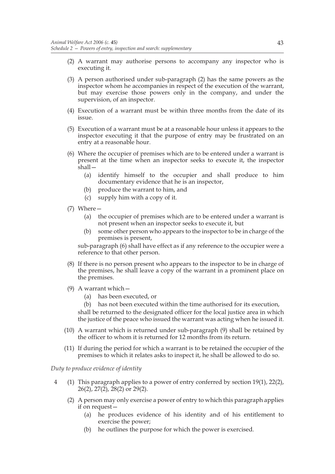- (2) A warrant may authorise persons to accompany any inspector who is executing it.
- (3) A person authorised under sub-paragraph (2) has the same powers as the inspector whom he accompanies in respect of the execution of the warrant, but may exercise those powers only in the company, and under the supervision, of an inspector.
- (4) Execution of a warrant must be within three months from the date of its issue.
- (5) Execution of a warrant must be at a reasonable hour unless it appears to the inspector executing it that the purpose of entry may be frustrated on an entry at a reasonable hour.
- (6) Where the occupier of premises which are to be entered under a warrant is present at the time when an inspector seeks to execute it, the inspector shall—
	- (a) identify himself to the occupier and shall produce to him documentary evidence that he is an inspector,
	- (b) produce the warrant to him, and
	- (c) supply him with a copy of it.
- (7) Where—
	- (a) the occupier of premises which are to be entered under a warrant is not present when an inspector seeks to execute it, but
	- (b) some other person who appears to the inspector to be in charge of the premises is present,

sub-paragraph (6) shall have effect as if any reference to the occupier were a reference to that other person.

- (8) If there is no person present who appears to the inspector to be in charge of the premises, he shall leave a copy of the warrant in a prominent place on the premises.
- (9) A warrant which—
	- (a) has been executed, or

(b) has not been executed within the time authorised for its execution, shall be returned to the designated officer for the local justice area in which the justice of the peace who issued the warrant was acting when he issued it.

- (10) A warrant which is returned under sub-paragraph (9) shall be retained by the officer to whom it is returned for 12 months from its return.
- (11) If during the period for which a warrant is to be retained the occupier of the premises to which it relates asks to inspect it, he shall be allowed to do so.

*Duty to produce evidence of identity*

- 4 (1) This paragraph applies to a power of entry conferred by section 19(1), 22(2), 26(2), 27(2), 28(2) or 29(2).
	- (2) A person may only exercise a power of entry to which this paragraph applies if on request—
		- (a) he produces evidence of his identity and of his entitlement to exercise the power;
		- (b) he outlines the purpose for which the power is exercised.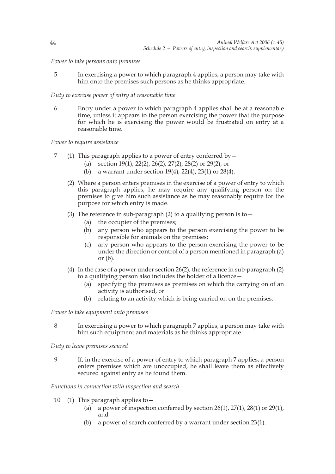#### *Power to take persons onto premises*

5 In exercising a power to which paragraph 4 applies, a person may take with him onto the premises such persons as he thinks appropriate.

#### *Duty to exercise power of entry at reasonable time*

6 Entry under a power to which paragraph 4 applies shall be at a reasonable time, unless it appears to the person exercising the power that the purpose for which he is exercising the power would be frustrated on entry at a reasonable time.

*Power to require assistance*

- 7 (1) This paragraph applies to a power of entry conferred by—
	- (a) section 19(1), 22(2), 26(2), 27(2), 28(2) or 29(2), or
	- (b) a warrant under section 19(4), 22(4), 23(1) or 28(4).
	- (2) Where a person enters premises in the exercise of a power of entry to which this paragraph applies, he may require any qualifying person on the premises to give him such assistance as he may reasonably require for the purpose for which entry is made.
	- (3) The reference in sub-paragraph (2) to a qualifying person is to  $-$ 
		- (a) the occupier of the premises;
		- (b) any person who appears to the person exercising the power to be responsible for animals on the premises;
		- (c) any person who appears to the person exercising the power to be under the direction or control of a person mentioned in paragraph (a) or  $(b)$ .
	- (4) In the case of a power under section 26(2), the reference in sub-paragraph (2) to a qualifying person also includes the holder of a licence—
		- (a) specifying the premises as premises on which the carrying on of an activity is authorised, or
		- (b) relating to an activity which is being carried on on the premises.

*Power to take equipment onto premises*

8 In exercising a power to which paragraph 7 applies, a person may take with him such equipment and materials as he thinks appropriate.

*Duty to leave premises secured*

9 If, in the exercise of a power of entry to which paragraph 7 applies, a person enters premises which are unoccupied, he shall leave them as effectively secured against entry as he found them.

*Functions in connection with inspection and search*

- 10 (1) This paragraph applies to—
	- (a) a power of inspection conferred by section  $26(1)$ ,  $27(1)$ ,  $28(1)$  or  $29(1)$ , and
	- (b) a power of search conferred by a warrant under section 23(1).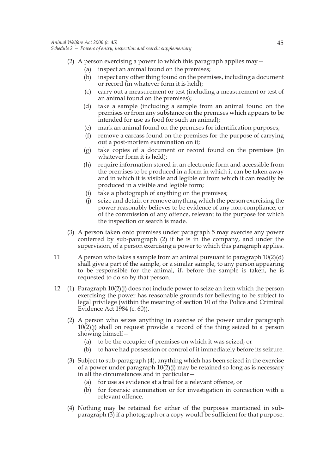- (2) A person exercising a power to which this paragraph applies may  $-$ 
	- (a) inspect an animal found on the premises;
	- (b) inspect any other thing found on the premises, including a document or record (in whatever form it is held);
	- (c) carry out a measurement or test (including a measurement or test of an animal found on the premises);
	- (d) take a sample (including a sample from an animal found on the premises or from any substance on the premises which appears to be intended for use as food for such an animal);
	- (e) mark an animal found on the premises for identification purposes;
	- (f) remove a carcass found on the premises for the purpose of carrying out a post-mortem examination on it;
	- (g) take copies of a document or record found on the premises (in whatever form it is held);
	- (h) require information stored in an electronic form and accessible from the premises to be produced in a form in which it can be taken away and in which it is visible and legible or from which it can readily be produced in a visible and legible form;
	- (i) take a photograph of anything on the premises;
	- (j) seize and detain or remove anything which the person exercising the power reasonably believes to be evidence of any non-compliance, or of the commission of any offence, relevant to the purpose for which the inspection or search is made.
- (3) A person taken onto premises under paragraph 5 may exercise any power conferred by sub-paragraph (2) if he is in the company, and under the supervision, of a person exercising a power to which this paragraph applies.
- 11 A person who takes a sample from an animal pursuant to paragraph  $10(2)(d)$ shall give a part of the sample, or a similar sample, to any person appearing to be responsible for the animal, if, before the sample is taken, he is requested to do so by that person.
- 12 (1) Paragraph 10(2)(j) does not include power to seize an item which the person exercising the power has reasonable grounds for believing to be subject to legal privilege (within the meaning of section 10 of the Police and Criminal Evidence Act 1984 (c. 60)).
	- (2) A person who seizes anything in exercise of the power under paragraph 10(2)(j) shall on request provide a record of the thing seized to a person showing himself—
		- (a) to be the occupier of premises on which it was seized, or
		- (b) to have had possession or control of it immediately before its seizure.
	- (3) Subject to sub-paragraph (4), anything which has been seized in the exercise of a power under paragraph 10(2)(j) may be retained so long as is necessary in all the circumstances and in particular—
		- (a) for use as evidence at a trial for a relevant offence, or
		- (b) for forensic examination or for investigation in connection with a relevant offence.
	- (4) Nothing may be retained for either of the purposes mentioned in subparagraph (3) if a photograph or a copy would be sufficient for that purpose.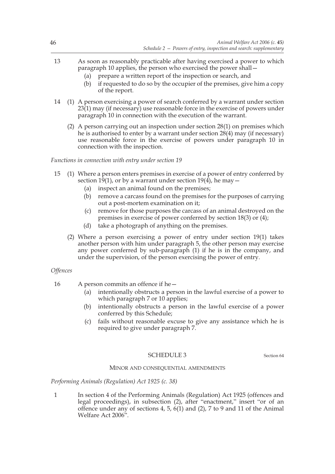- 13 As soon as reasonably practicable after having exercised a power to which paragraph 10 applies, the person who exercised the power shall—
	- (a) prepare a written report of the inspection or search, and
	- (b) if requested to do so by the occupier of the premises, give him a copy of the report.
- 14 (1) A person exercising a power of search conferred by a warrant under section 23(1) may (if necessary) use reasonable force in the exercise of powers under paragraph 10 in connection with the execution of the warrant.
	- (2) A person carrying out an inspection under section 28(1) on premises which he is authorised to enter by a warrant under section 28(4) may (if necessary) use reasonable force in the exercise of powers under paragraph 10 in connection with the inspection.

*Functions in connection with entry under section 19*

- 15 (1) Where a person enters premises in exercise of a power of entry conferred by section 19(1), or by a warrant under section 19(4), he may  $-$ 
	- (a) inspect an animal found on the premises;
	- (b) remove a carcass found on the premises for the purposes of carrying out a post-mortem examination on it;
	- (c) remove for those purposes the carcass of an animal destroyed on the premises in exercise of power conferred by section 18(3) or (4);
	- (d) take a photograph of anything on the premises.
	- (2) Where a person exercising a power of entry under section 19(1) takes another person with him under paragraph 5, the other person may exercise any power conferred by sub-paragraph (1) if he is in the company, and under the supervision, of the person exercising the power of entry.

#### *Offences*

- 16 A person commits an offence if he—
	- (a) intentionally obstructs a person in the lawful exercise of a power to which paragraph 7 or 10 applies;
	- (b) intentionally obstructs a person in the lawful exercise of a power conferred by this Schedule;
	- (c) fails without reasonable excuse to give any assistance which he is required to give under paragraph 7.

#### SCHEDULE 3 Section 64

#### MINOR AND CONSEQUENTIAL AMENDMENTS

*Performing Animals (Regulation) Act 1925 (c. 38)*

1 In section 4 of the Performing Animals (Regulation) Act 1925 (offences and legal proceedings), in subsection (2), after "enactment," insert "or of an offence under any of sections 4, 5, 6(1) and (2), 7 to 9 and 11 of the Animal Welfare Act 2006".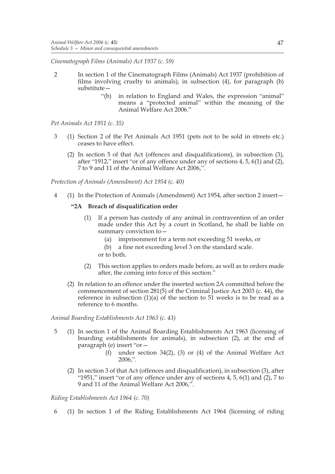*Cinematograph Films (Animals) Act 1937 (c. 59)*

- 2 In section 1 of the Cinematograph Films (Animals) Act 1937 (prohibition of films involving cruelty to animals), in subsection (4), for paragraph (b) substitute—
	- "(b) in relation to England and Wales, the expression "animal" means a "protected animal" within the meaning of the Animal Welfare Act 2006."

*Pet Animals Act 1951 (c. 35)*

- 3 (1) Section 2 of the Pet Animals Act 1951 (pets not to be sold in streets etc.) ceases to have effect.
	- (2) In section 5 of that Act (offences and disqualifications), in subsection (3), after "1912," insert "or of any offence under any of sections 4, 5, 6(1) and (2), 7 to 9 and 11 of the Animal Welfare Act 2006,".

*Protection of Animals (Amendment) Act 1954 (c. 40)*

4 (1) In the Protection of Animals (Amendment) Act 1954, after section 2 insert—

#### **"2A Breach of disqualification order**

- (1) If a person has custody of any animal in contravention of an order made under this Act by a court in Scotland, he shall be liable on summary conviction to—
	- (a) imprisonment for a term not exceeding 51 weeks, or
	- (b) a fine not exceeding level 3 on the standard scale.
	- or to both.
- (2) This section applies to orders made before, as well as to orders made after, the coming into force of this section."
- (2) In relation to an offence under the inserted section 2A committed before the commencement of section 281(5) of the Criminal Justice Act 2003 (c. 44), the reference in subsection (1)(a) of the section to 51 weeks is to be read as a reference to 6 months.

*Animal Boarding Establishments Act 1963 (c. 43)*

- 5 (1) In section 1 of the Animal Boarding Establishments Act 1963 (licensing of boarding establishments for animals), in subsection (2), at the end of paragraph (e) insert "or—
	- (f) under section 34(2), (3) or (4) of the Animal Welfare Act 2006,".
	- (2) In section 3 of that Act (offences and disqualification), in subsection (3), after "1951," insert "or of any offence under any of sections  $4, 5, 6(1)$  and  $(2), 7$  to 9 and 11 of the Animal Welfare Act 2006,".

*Riding Establishments Act 1964 (c. 70)*

6 (1) In section 1 of the Riding Establishments Act 1964 (licensing of riding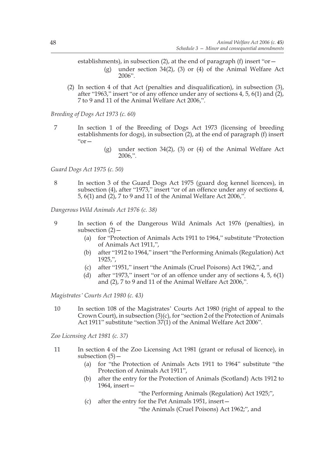establishments), in subsection (2), at the end of paragraph (f) insert "or  $-$ (g) under section 34(2), (3) or (4) of the Animal Welfare Act 2006".

(2) In section 4 of that Act (penalties and disqualification), in subsection (3), after "1963," insert "or of any offence under any of sections 4, 5, 6(1) and (2), 7 to 9 and 11 of the Animal Welfare Act 2006,".

*Breeding of Dogs Act 1973 (c. 60)*

- 7 In section 1 of the Breeding of Dogs Act 1973 (licensing of breeding establishments for dogs), in subsection (2), at the end of paragraph (f) insert  $"or$ 
	- (g) under section 34(2), (3) or (4) of the Animal Welfare Act 2006,".

*Guard Dogs Act 1975 (c. 50)*

8 In section 3 of the Guard Dogs Act 1975 (guard dog kennel licences), in subsection (4), after "1973," insert "or of an offence under any of sections 4, 5, 6(1) and (2), 7 to 9 and 11 of the Animal Welfare Act 2006,".

*Dangerous Wild Animals Act 1976 (c. 38)*

- 9 In section 6 of the Dangerous Wild Animals Act 1976 (penalties), in subsection  $(2)$  -
	- (a) for "Protection of Animals Acts 1911 to 1964," substitute "Protection of Animals Act 1911,",
	- (b) after "1912 to 1964," insert "the Performing Animals (Regulation) Act 1925,",
	- (c) after "1951," insert "the Animals (Cruel Poisons) Act 1962,", and
	- (d) after "1973," insert "or of an offence under any of sections 4, 5, 6(1) and (2), 7 to 9 and 11 of the Animal Welfare Act 2006,".

*Magistrates' Courts Act 1980 (c. 43)*

10 In section 108 of the Magistrates' Courts Act 1980 (right of appeal to the Crown Court), in subsection (3)(c), for "section 2 of the Protection of Animals Act 1911" substitute "section 37(1) of the Animal Welfare Act 2006".

*Zoo Licensing Act 1981 (c. 37)*

- 11 In section 4 of the Zoo Licensing Act 1981 (grant or refusal of licence), in subsection  $(5)$  –
	- (a) for "the Protection of Animals Acts 1911 to 1964" substitute "the Protection of Animals Act 1911",
	- (b) after the entry for the Protection of Animals (Scotland) Acts 1912 to 1964, insert—

"the Performing Animals (Regulation) Act 1925;",

(c) after the entry for the Pet Animals 1951, insert—

"the Animals (Cruel Poisons) Act 1962;", and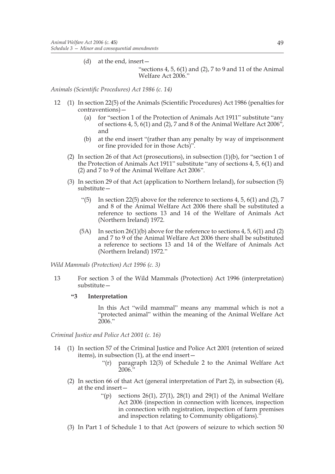(d) at the end, insert—

"sections 4, 5,  $6(1)$  and (2), 7 to 9 and 11 of the Animal Welfare Act 2006."

*Animals (Scientific Procedures) Act 1986 (c. 14)*

- 12 (1) In section 22(5) of the Animals (Scientific Procedures) Act 1986 (penalties for contraventions)—
	- (a) for "section 1 of the Protection of Animals Act 1911" substitute "any of sections 4, 5, 6(1) and (2), 7 and 8 of the Animal Welfare Act 2006", and
	- (b) at the end insert "(rather than any penalty by way of imprisonment or fine provided for in those Acts)".
	- (2) In section 26 of that Act (prosecutions), in subsection  $(1)(b)$ , for "section 1 of the Protection of Animals Act 1911" substitute "any of sections 4, 5, 6(1) and (2) and 7 to 9 of the Animal Welfare Act 2006".
	- (3) In section 29 of that Act (application to Northern Ireland), for subsection (5) substitute—
		- "(5) In section 22(5) above for the reference to sections  $4, 5, 6(1)$  and  $(2), 7$ and 8 of the Animal Welfare Act 2006 there shall be substituted a reference to sections 13 and 14 of the Welfare of Animals Act (Northern Ireland) 1972.
		- $(5A)$  In section 26(1)(b) above for the reference to sections 4, 5, 6(1) and (2) and 7 to 9 of the Animal Welfare Act 2006 there shall be substituted a reference to sections 13 and 14 of the Welfare of Animals Act (Northern Ireland) 1972."

*Wild Mammals (Protection) Act 1996 (c. 3)*

13 For section 3 of the Wild Mammals (Protection) Act 1996 (interpretation) substitute—

#### **"3 Interpretation**

In this Act "wild mammal" means any mammal which is not a "protected animal" within the meaning of the Animal Welfare Act 2006."

*Criminal Justice and Police Act 2001 (c. 16)*

- 14 (1) In section 57 of the Criminal Justice and Police Act 2001 (retention of seized items), in subsection (1), at the end insert—
	- "(r) paragraph 12(3) of Schedule 2 to the Animal Welfare Act 2006."
	- (2) In section 66 of that Act (general interpretation of Part 2), in subsection (4), at the end insert—
		- "(p) sections  $26(1)$ ,  $27(1)$ ,  $28(1)$  and  $29(1)$  of the Animal Welfare Act 2006 (inspection in connection with licences, inspection in connection with registration, inspection of farm premises and inspection relating to Community obligations)."
	- (3) In Part 1 of Schedule 1 to that Act (powers of seizure to which section 50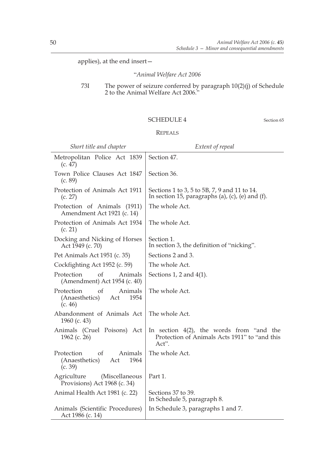applies), at the end insert—

"*Animal Welfare Act 2006*

#### 73I The power of seizure conferred by paragraph 10(2)(j) of Schedule 2 to the Animal Welfare Act 2006."

#### SCHEDULE 4 Section 65

#### REPEALS

| Short title and chapter                                                            | Extent of repeal                                                                                      |
|------------------------------------------------------------------------------------|-------------------------------------------------------------------------------------------------------|
| Metropolitan Police Act 1839<br>(c. 47)                                            | Section 47.                                                                                           |
| Town Police Clauses Act 1847<br>(c. 89)                                            | Section 36.                                                                                           |
| Protection of Animals Act 1911<br>(c. 27)                                          | Sections 1 to 3, 5 to 5B, 7, 9 and 11 to 14.<br>In section 15, paragraphs (a), (c), (e) and (f).      |
| Protection of Animals (1911)<br>Amendment Act 1921 (c. 14)                         | The whole Act.                                                                                        |
| Protection of Animals Act 1934<br>(c. 21)                                          | The whole Act.                                                                                        |
| Docking and Nicking of Horses<br>Act 1949 (c. 70)                                  | Section 1.<br>In section 3, the definition of "nicking".                                              |
| Pet Animals Act 1951 (c. 35)                                                       | Sections 2 and 3.                                                                                     |
| Cockfighting Act 1952 (c. 59)                                                      | The whole Act.                                                                                        |
| Protection<br>of<br>Animals<br>(Amendment) Act 1954 (c. 40)                        | Sections 1, 2 and $4(1)$ .                                                                            |
| <sub>of</sub><br>Protection<br>Animals<br>(Anaesthetics)<br>Act<br>1954<br>(c. 46) | The whole Act.                                                                                        |
| Abandonment of Animals Act<br>1960 (c. 43)                                         | The whole Act.                                                                                        |
| Animals (Cruel Poisons) Act<br>1962 (c. 26)                                        | In section $4(2)$ , the words from "and the<br>Protection of Animals Acts 1911" to "and this<br>Act". |
| of<br>Protection<br>Animals<br>(Anaesthetics)<br>1964<br>Act<br>(c. 39)            | The whole Act.                                                                                        |
| Agriculture<br>(Miscellaneous<br>Provisions) Act 1968 (c. 34)                      | Part 1.                                                                                               |
| Animal Health Act 1981 (c. 22)                                                     | Sections 37 to 39.<br>In Schedule 5, paragraph 8.                                                     |
| Animals (Scientific Procedures)<br>Act 1986 (c. 14)                                | In Schedule 3, paragraphs 1 and 7.                                                                    |